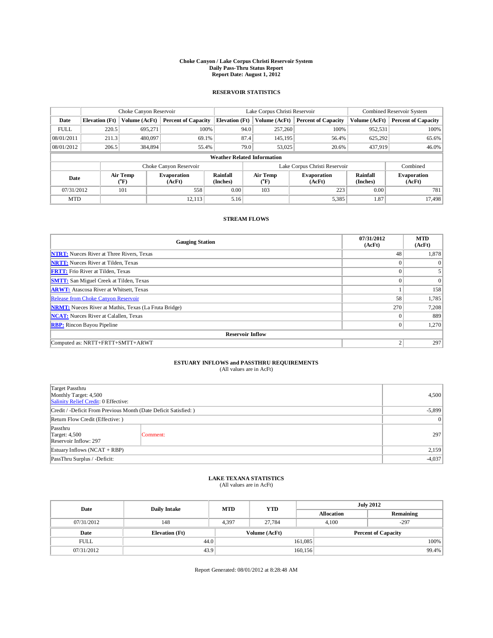## **Choke Canyon / Lake Corpus Christi Reservoir System Daily Pass-Thru Status Report Report Date: August 1, 2012**

### **RESERVOIR STATISTICS**

|             | Choke Canyon Reservoir<br>Lake Corpus Christi Reservoir |                           |                              |                             |                                           |                              | Combined Reservoir System     |                             |                              |
|-------------|---------------------------------------------------------|---------------------------|------------------------------|-----------------------------|-------------------------------------------|------------------------------|-------------------------------|-----------------------------|------------------------------|
| Date        | <b>Elevation</b> (Ft)                                   | Volume (AcFt)             | <b>Percent of Capacity</b>   | <b>Elevation</b> (Ft)       | Volume (AcFt)                             |                              | <b>Percent of Capacity</b>    | Volume (AcFt)               | <b>Percent of Capacity</b>   |
| <b>FULL</b> | 220.5                                                   | 695,271                   | 100%                         |                             | 257,260<br>94.0                           |                              | 100%                          | 952,531                     | 100%                         |
| 08/01/2011  | 211.3                                                   | 480,097                   | 69.1%                        |                             | 87.4<br>145,195                           |                              | 56.4%                         | 625,292                     | 65.6%                        |
| 08/01/2012  | 206.5                                                   | 384,894                   | 55.4%                        |                             | 79.0<br>53,025                            |                              | 20.6%                         | 437,919                     | 46.0%                        |
|             |                                                         |                           |                              |                             | <b>Weather Related Information</b>        |                              |                               |                             |                              |
|             |                                                         |                           | Choke Canyon Reservoir       |                             |                                           |                              | Lake Corpus Christi Reservoir |                             | Combined                     |
| Date        |                                                         | Air Temp<br>$\rm ^{(o}F)$ | <b>Evaporation</b><br>(AcFt) | <b>Rainfall</b><br>(Inches) | Air Temp<br>$({}^{\mathrm{o}}\mathrm{F})$ | <b>Evaporation</b><br>(AcFt) |                               | <b>Rainfall</b><br>(Inches) | <b>Evaporation</b><br>(AcFt) |
| 07/31/2012  |                                                         | 101                       | 558                          | 0.00                        | 103                                       |                              | 223                           | 0.00                        | 781                          |
| <b>MTD</b>  |                                                         |                           | 12.113                       | 5.16                        |                                           |                              | 5,385                         | 1.87                        | 17,498                       |

### **STREAM FLOWS**

| <b>Gauging Station</b>                                       | 07/31/2012<br>(AcFt) | <b>MTD</b><br>(AcFt) |  |  |  |  |  |
|--------------------------------------------------------------|----------------------|----------------------|--|--|--|--|--|
| <b>NTRT:</b> Nueces River at Three Rivers, Texas             | 48                   | 1,878                |  |  |  |  |  |
| <b>NRTT:</b> Nueces River at Tilden, Texas                   |                      | $\Omega$             |  |  |  |  |  |
| <b>FRTT:</b> Frio River at Tilden, Texas                     |                      |                      |  |  |  |  |  |
| <b>SMTT:</b> San Miguel Creek at Tilden, Texas               | $\theta$             | $\Omega$             |  |  |  |  |  |
| <b>ARWT:</b> Atascosa River at Whitsett, Texas               |                      | 158                  |  |  |  |  |  |
| <b>Release from Choke Canyon Reservoir</b>                   | 58                   | 1,785                |  |  |  |  |  |
| <b>NRMT:</b> Nueces River at Mathis, Texas (La Fruta Bridge) | 270                  | 7,208                |  |  |  |  |  |
| <b>NCAT:</b> Nueces River at Calallen, Texas                 | $\Omega$             | 889                  |  |  |  |  |  |
| <b>RBP:</b> Rincon Bayou Pipeline                            | $\mathbf{0}$         | 1,270                |  |  |  |  |  |
| <b>Reservoir Inflow</b>                                      |                      |                      |  |  |  |  |  |
| Computed as: NRTT+FRTT+SMTT+ARWT                             | $\overline{c}$       | 297                  |  |  |  |  |  |

# **ESTUARY INFLOWS and PASSTHRU REQUIREMENTS**<br>(All values are in AcFt)

| Target Passthru<br>Monthly Target: 4,500<br>Salinity Relief Credit: 0 Effective: |                | 4,500 |
|----------------------------------------------------------------------------------|----------------|-------|
| Credit / -Deficit From Previous Month (Date Deficit Satisfied: )                 | $-5,899$       |       |
| Return Flow Credit (Effective: )                                                 | $\overline{0}$ |       |
| Passthru<br><b>Target: 4,500</b><br>Reservoir Inflow: 297                        | Comment:       | 297   |
| Estuary Inflows (NCAT + RBP)                                                     |                |       |
| PassThru Surplus / -Deficit:                                                     | $-4,037$       |       |

## **LAKE TEXANA STATISTICS** (All values are in AcFt)

| Date        | <b>Daily Intake</b>   | <b>MTD</b> | <b>YTD</b>    |         | <b>July 2012</b>           |           |       |
|-------------|-----------------------|------------|---------------|---------|----------------------------|-----------|-------|
|             |                       |            |               |         | <b>Allocation</b>          | Remaining |       |
| 07/31/2012  | 148                   | 4,397      | 27.784        |         | $-297$<br>4.100            |           |       |
| Date        | <b>Elevation</b> (Ft) |            | Volume (AcFt) |         | <b>Percent of Capacity</b> |           |       |
| <b>FULL</b> | 44.0                  |            |               | 161,085 |                            |           | 100%  |
| 07/31/2012  | 43.9                  |            |               | 160,156 |                            |           | 99.4% |

Report Generated: 08/01/2012 at 8:28:48 AM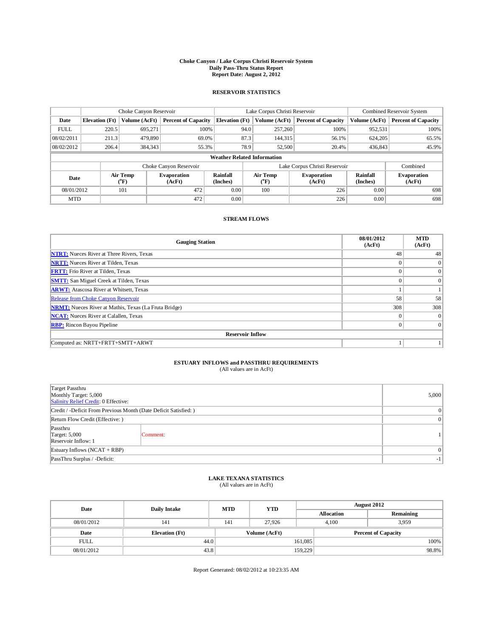## **Choke Canyon / Lake Corpus Christi Reservoir System Daily Pass-Thru Status Report Report Date: August 2, 2012**

### **RESERVOIR STATISTICS**

|             | Choke Canyon Reservoir<br>Lake Corpus Christi Reservoir |                          |                            |                                    |      |                         | Combined Reservoir System     |               |                              |
|-------------|---------------------------------------------------------|--------------------------|----------------------------|------------------------------------|------|-------------------------|-------------------------------|---------------|------------------------------|
| Date        | <b>Elevation</b> (Ft)                                   | Volume (AcFt)            | <b>Percent of Capacity</b> | <b>Elevation</b> (Ft)              |      | Volume (AcFt)           | <b>Percent of Capacity</b>    | Volume (AcFt) | <b>Percent of Capacity</b>   |
| <b>FULL</b> | 220.5                                                   | 695,271                  | 100%                       |                                    | 94.0 | 257,260                 | 100%                          | 952,531       | 100%                         |
| 08/02/2011  | 211.3                                                   | 479,890                  | 69.0%                      |                                    | 87.3 | 144,315                 | 56.1%                         | 624,205       | 65.5%                        |
| 08/02/2012  | 206.4                                                   | 384,343                  | 55.3%                      |                                    | 78.9 | 52,500                  | 20.4%                         | 436,843       | 45.9%                        |
|             |                                                         |                          |                            | <b>Weather Related Information</b> |      |                         |                               |               |                              |
|             |                                                         |                          | Choke Canyon Reservoir     |                                    |      |                         | Lake Corpus Christi Reservoir |               | Combined                     |
| Date        |                                                         | Air Temp<br>$\rm ^{o}F)$ | Evaporation<br>(AcFt)      | Rainfall<br>(Inches)               |      | Air Temp<br>$\rm ^{o}F$ | <b>Evaporation</b><br>(AcFt)  |               | <b>Evaporation</b><br>(AcFt) |
| 08/01/2012  |                                                         | 101                      | 472                        | 0.00                               |      | 100                     | 226                           | 0.00          | 698                          |
| <b>MTD</b>  |                                                         |                          | 472                        | 0.00                               |      |                         | 226                           | 0.00          | 698                          |

#### **STREAM FLOWS**

| <b>Gauging Station</b>                                       | 08/01/2012<br>(AcFt) | <b>MTD</b><br>(AcFt) |  |  |  |  |
|--------------------------------------------------------------|----------------------|----------------------|--|--|--|--|
| <b>NTRT:</b> Nueces River at Three Rivers, Texas             | 48                   | 48                   |  |  |  |  |
| <b>NRTT:</b> Nueces River at Tilden, Texas                   | $\Omega$             | $\overline{0}$       |  |  |  |  |
| <b>FRTT:</b> Frio River at Tilden, Texas                     | $\theta$             | $\overline{0}$       |  |  |  |  |
| <b>SMTT:</b> San Miguel Creek at Tilden, Texas               | $\Omega$             | $\Omega$             |  |  |  |  |
| <b>ARWT:</b> Atascosa River at Whitsett, Texas               |                      |                      |  |  |  |  |
| <b>Release from Choke Canyon Reservoir</b>                   | 58                   | 58                   |  |  |  |  |
| <b>NRMT:</b> Nueces River at Mathis, Texas (La Fruta Bridge) | 308                  | 308                  |  |  |  |  |
| <b>NCAT:</b> Nueces River at Calallen, Texas                 | $\Omega$             | $\overline{0}$       |  |  |  |  |
| <b>RBP:</b> Rincon Bayou Pipeline                            | $\theta$             | $\overline{0}$       |  |  |  |  |
| <b>Reservoir Inflow</b>                                      |                      |                      |  |  |  |  |
| Computed as: NRTT+FRTT+SMTT+ARWT                             |                      |                      |  |  |  |  |

# **ESTUARY INFLOWS and PASSTHRU REQUIREMENTS**<br>(All values are in AcFt)

| Target Passthru<br>Monthly Target: 5,000<br>Salinity Relief Credit: 0 Effective: | 5,000                    |  |
|----------------------------------------------------------------------------------|--------------------------|--|
| Credit / -Deficit From Previous Month (Date Deficit Satisfied: )                 | $\overline{0}$           |  |
| Return Flow Credit (Effective: )                                                 | $\overline{0}$           |  |
| Passthru<br>Target: 5,000<br>Reservoir Inflow: 1                                 | Comment:                 |  |
| Estuary Inflows (NCAT + RBP)                                                     | $\Omega$                 |  |
| PassThru Surplus / -Deficit:                                                     | $\overline{\phantom{a}}$ |  |

## **LAKE TEXANA STATISTICS** (All values are in AcFt)

| Date        | <b>Daily Intake</b>   | <b>MTD</b> | <b>YTD</b>    |         |                            | <b>August 2012</b> |  |
|-------------|-----------------------|------------|---------------|---------|----------------------------|--------------------|--|
|             |                       |            |               |         | <b>Allocation</b>          | Remaining          |  |
| 08/01/2012  | 141                   | 141        | 27.926        |         | 4.100                      | 3.959              |  |
| Date        | <b>Elevation</b> (Ft) |            | Volume (AcFt) |         | <b>Percent of Capacity</b> |                    |  |
| <b>FULL</b> | 44.0                  |            |               | 161,085 |                            | 100%               |  |
| 08/01/2012  | 43.8                  |            |               | 159,229 |                            | 98.8%              |  |

Report Generated: 08/02/2012 at 10:23:35 AM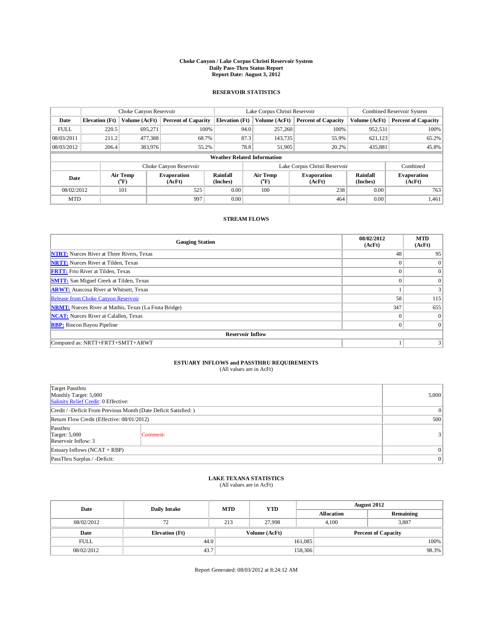## **Choke Canyon / Lake Corpus Christi Reservoir System Daily Pass-Thru Status Report Report Date: August 3, 2012**

### **RESERVOIR STATISTICS**

|             |                       | Choke Canyon Reservoir<br>Lake Corpus Christi Reservoir |                              |                             |                                    |                               | Combined Reservoir System |                              |
|-------------|-----------------------|---------------------------------------------------------|------------------------------|-----------------------------|------------------------------------|-------------------------------|---------------------------|------------------------------|
| Date        | <b>Elevation</b> (Ft) | Volume (AcFt)                                           | <b>Percent of Capacity</b>   | <b>Elevation</b> (Ft)       | Volume (AcFt)                      | <b>Percent of Capacity</b>    | Volume (AcFt)             | <b>Percent of Capacity</b>   |
| <b>FULL</b> | 220.5                 | 695.271                                                 | 100%                         |                             | 257,260<br>94.0                    | 100%                          | 952,531                   | 100%                         |
| 08/03/2011  | 211.2                 | 477,388                                                 | 68.7%                        |                             | 87.3<br>143,735                    | 55.9%                         | 621,123                   | 65.2%                        |
| 08/03/2012  | 206.4                 | 383,976                                                 | 55.2%                        |                             | 78.8<br>51,905                     | 20.2%                         | 435,881                   | 45.8%                        |
|             |                       |                                                         |                              |                             | <b>Weather Related Information</b> |                               |                           |                              |
|             |                       |                                                         | Choke Canyon Reservoir       |                             |                                    | Lake Corpus Christi Reservoir |                           | Combined                     |
| Date        |                       | Air Temp<br>$\rm ^{o}F)$                                | <b>Evaporation</b><br>(AcFt) | <b>Rainfall</b><br>(Inches) | Air Temp<br>("F)                   | <b>Evaporation</b><br>(AcFt)  |                           | <b>Evaporation</b><br>(AcFt) |
| 08/02/2012  |                       | 101                                                     | 525                          | 0.00                        | 100                                | 238                           | 0.00                      | 763                          |
| <b>MTD</b>  |                       |                                                         | 997                          | 0.00                        |                                    | 464                           | 0.00                      | 1,461                        |

#### **STREAM FLOWS**

| <b>Gauging Station</b>                                       | 08/02/2012<br>(AcFt) | <b>MTD</b><br>(AcFt) |  |  |  |  |  |
|--------------------------------------------------------------|----------------------|----------------------|--|--|--|--|--|
| <b>NTRT:</b> Nueces River at Three Rivers, Texas             | 48                   | 95                   |  |  |  |  |  |
| <b>NRTT:</b> Nueces River at Tilden, Texas                   |                      | $\Omega$             |  |  |  |  |  |
| <b>FRTT:</b> Frio River at Tilden, Texas                     |                      | $\Omega$             |  |  |  |  |  |
| <b>SMTT:</b> San Miguel Creek at Tilden, Texas               |                      | $\Omega$             |  |  |  |  |  |
| <b>ARWT:</b> Atascosa River at Whitsett, Texas               |                      |                      |  |  |  |  |  |
| <b>Release from Choke Canyon Reservoir</b>                   | 58                   | 115                  |  |  |  |  |  |
| <b>NRMT:</b> Nueces River at Mathis, Texas (La Fruta Bridge) | 347                  | 655                  |  |  |  |  |  |
| <b>NCAT:</b> Nueces River at Calallen, Texas                 | $\Omega$             | $\Omega$             |  |  |  |  |  |
| <b>RBP:</b> Rincon Bayou Pipeline                            | $\theta$             | $\Omega$             |  |  |  |  |  |
| <b>Reservoir Inflow</b>                                      |                      |                      |  |  |  |  |  |
| Computed as: NRTT+FRTT+SMTT+ARWT                             |                      |                      |  |  |  |  |  |

## **ESTUARY INFLOWS and PASSTHRU REQUIREMENTS**

| (All values are in AcFt) |  |
|--------------------------|--|
|--------------------------|--|

| Target Passthru<br>Monthly Target: 5,000<br>Salinity Relief Credit: 0 Effective: | 5,000           |               |  |
|----------------------------------------------------------------------------------|-----------------|---------------|--|
| Credit / -Deficit From Previous Month (Date Deficit Satisfied: )                 | 0               |               |  |
| Return Flow Credit (Effective: 08/01/2012)                                       |                 |               |  |
| Passthru<br><b>Target: 5,000</b><br>Reservoir Inflow: 3                          | Comment:        | $\frac{3}{3}$ |  |
| Estuary Inflows (NCAT + RBP)                                                     |                 |               |  |
| PassThru Surplus / -Deficit:                                                     | $\vert 0 \vert$ |               |  |

## **LAKE TEXANA STATISTICS** (All values are in AcFt)

| Date        | <b>Daily Intake</b>   | <b>MTD</b> | <b>YTD</b>    | <b>August 2012</b> |                            |           |       |
|-------------|-----------------------|------------|---------------|--------------------|----------------------------|-----------|-------|
|             |                       |            |               |                    | <b>Allocation</b>          | Remaining |       |
| 08/02/2012  | 72                    | 213        | 27.998        |                    | 4.100                      | 3,887     |       |
| Date        | <b>Elevation</b> (Ft) |            | Volume (AcFt) |                    | <b>Percent of Capacity</b> |           |       |
| <b>FULL</b> | 44.0                  |            |               | 161,085            |                            |           | 100%  |
| 08/02/2012  | 43.7                  |            |               | 158,306            |                            |           | 98.3% |

Report Generated: 08/03/2012 at 8:24:12 AM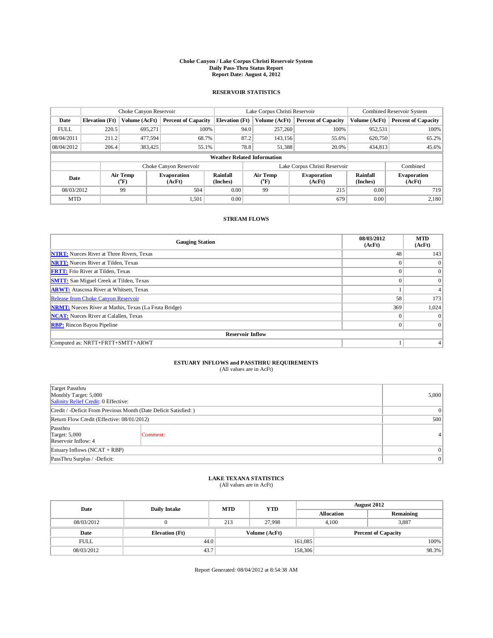## **Choke Canyon / Lake Corpus Christi Reservoir System Daily Pass-Thru Status Report Report Date: August 4, 2012**

### **RESERVOIR STATISTICS**

|             | Choke Canyon Reservoir |                                                           | Lake Corpus Christi Reservoir |                                    |                                                                           |               | Combined Reservoir System     |                              |                            |
|-------------|------------------------|-----------------------------------------------------------|-------------------------------|------------------------------------|---------------------------------------------------------------------------|---------------|-------------------------------|------------------------------|----------------------------|
| Date        | <b>Elevation</b> (Ft)  | Volume (AcFt)                                             | <b>Percent of Capacity</b>    | <b>Elevation</b> (Ft)              |                                                                           | Volume (AcFt) | <b>Percent of Capacity</b>    | Volume (AcFt)                | <b>Percent of Capacity</b> |
| <b>FULL</b> | 220.5                  | 695,271                                                   | 100%                          |                                    | 94.0                                                                      | 257,260       | 100%                          | 952,531                      | 100%                       |
| 08/04/2011  | 211.2                  | 477,594                                                   | 68.7%                         |                                    | 87.2                                                                      | 143,156       | 55.6%                         | 620,750                      | 65.2%                      |
| 08/04/2012  | 206.4                  | 383,425                                                   | 55.1%                         |                                    | 78.8                                                                      | 51,388        | 20.0%                         | 434,813                      | 45.6%                      |
|             |                        |                                                           |                               | <b>Weather Related Information</b> |                                                                           |               |                               |                              |                            |
|             |                        |                                                           | Choke Canyon Reservoir        |                                    |                                                                           |               | Lake Corpus Christi Reservoir |                              | Combined                   |
| Date        |                        | Air Temp<br><b>Evaporation</b><br>$\rm ^{(o}F)$<br>(AcFt) |                               | <b>Rainfall</b><br>(Inches)        | Air Temp<br><b>Evaporation</b><br>$({}^{\mathrm{o}}\mathrm{F})$<br>(AcFt) |               | <b>Rainfall</b><br>(Inches)   | <b>Evaporation</b><br>(AcFt) |                            |
| 08/03/2012  | 99                     |                                                           | 504                           | 0.00                               |                                                                           | 99            | 215                           | 0.00                         | 719                        |
| <b>MTD</b>  |                        |                                                           | 1.501                         | 0.00                               |                                                                           |               | 679                           | 0.00                         | 2,180                      |

### **STREAM FLOWS**

| <b>Gauging Station</b>                                       | 08/03/2012<br>(AcFt) | <b>MTD</b><br>(AcFt) |
|--------------------------------------------------------------|----------------------|----------------------|
| <b>NTRT:</b> Nueces River at Three Rivers, Texas             | 48                   | 143                  |
| <b>NRTT:</b> Nueces River at Tilden, Texas                   |                      | $\Omega$             |
| <b>FRTT:</b> Frio River at Tilden, Texas                     |                      | $\overline{0}$       |
| <b>SMTT:</b> San Miguel Creek at Tilden, Texas               | $\theta$             | $\Omega$             |
| <b>ARWT:</b> Atascosa River at Whitsett, Texas               |                      |                      |
| <b>Release from Choke Canyon Reservoir</b>                   | 58                   | 173                  |
| <b>NRMT:</b> Nueces River at Mathis, Texas (La Fruta Bridge) | 369                  | 1,024                |
| <b>NCAT:</b> Nueces River at Calallen, Texas                 |                      | $\Omega$             |
| <b>RBP:</b> Rincon Bayou Pipeline                            |                      | $\overline{0}$       |
| <b>Reservoir Inflow</b>                                      |                      |                      |
| Computed as: NRTT+FRTT+SMTT+ARWT                             |                      |                      |

## **ESTUARY INFLOWS and PASSTHRU REQUIREMENTS**

| (All values are in AcFt) |  |
|--------------------------|--|
|--------------------------|--|

| Target Passthru<br>Monthly Target: 5,000<br>Salinity Relief Credit: 0 Effective: |  |                |  |  |  |
|----------------------------------------------------------------------------------|--|----------------|--|--|--|
| Credit / -Deficit From Previous Month (Date Deficit Satisfied: )                 |  |                |  |  |  |
| Return Flow Credit (Effective: 08/01/2012)                                       |  |                |  |  |  |
| Passthru<br><b>Target: 5,000</b><br>Comment:<br>Reservoir Inflow: 4              |  | 4 <sup>1</sup> |  |  |  |
| Estuary Inflows (NCAT + RBP)                                                     |  |                |  |  |  |
| PassThru Surplus / -Deficit:                                                     |  | 0              |  |  |  |

## **LAKE TEXANA STATISTICS** (All values are in AcFt)

| Date        | <b>Daily Intake</b>   | <b>MTD</b> | <b>YTD</b>    | <b>August 2012</b> |                            |           |       |
|-------------|-----------------------|------------|---------------|--------------------|----------------------------|-----------|-------|
|             |                       |            |               |                    | <b>Allocation</b>          | Remaining |       |
| 08/03/2012  |                       | 213        | 27.998        |                    | 4.100                      | 3,887     |       |
| Date        | <b>Elevation</b> (Ft) |            | Volume (AcFt) |                    | <b>Percent of Capacity</b> |           |       |
| <b>FULL</b> | 44.0                  |            |               | 161,085            |                            |           | 100%  |
| 08/03/2012  | 43.7                  |            |               | 158,306            |                            |           | 98.3% |

Report Generated: 08/04/2012 at 8:54:38 AM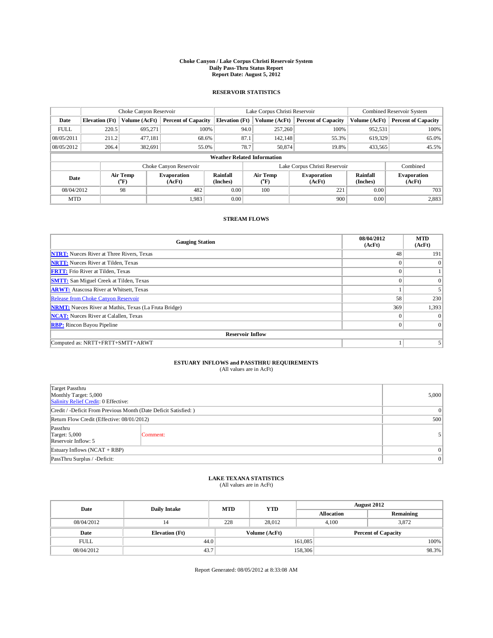## **Choke Canyon / Lake Corpus Christi Reservoir System Daily Pass-Thru Status Report Report Date: August 5, 2012**

### **RESERVOIR STATISTICS**

|             | Choke Canyon Reservoir |                                                           | Lake Corpus Christi Reservoir |                                    |                                                                           |               | Combined Reservoir System     |                              |                            |
|-------------|------------------------|-----------------------------------------------------------|-------------------------------|------------------------------------|---------------------------------------------------------------------------|---------------|-------------------------------|------------------------------|----------------------------|
| Date        | <b>Elevation</b> (Ft)  | Volume (AcFt)                                             | <b>Percent of Capacity</b>    | <b>Elevation</b> (Ft)              |                                                                           | Volume (AcFt) | <b>Percent of Capacity</b>    | Volume (AcFt)                | <b>Percent of Capacity</b> |
| <b>FULL</b> | 220.5                  | 695,271                                                   | 100%                          |                                    | 94.0                                                                      | 257,260       | 100%                          | 952,531                      | 100%                       |
| 08/05/2011  | 211.2                  | 477,181                                                   | 68.6%                         |                                    | 87.1                                                                      | 142,148       | 55.3%                         | 619,329                      | 65.0%                      |
| 08/05/2012  | 206.4                  | 382,691                                                   | 55.0%                         |                                    | 78.7                                                                      | 50,874        | 19.8%                         | 433,565                      | 45.5%                      |
|             |                        |                                                           |                               | <b>Weather Related Information</b> |                                                                           |               |                               |                              |                            |
|             |                        |                                                           | Choke Canyon Reservoir        |                                    |                                                                           |               | Lake Corpus Christi Reservoir |                              | Combined                   |
| Date        |                        | Air Temp<br><b>Evaporation</b><br>$\rm ^{(o}F)$<br>(AcFt) |                               | <b>Rainfall</b><br>(Inches)        | Air Temp<br><b>Evaporation</b><br>$({}^{\mathrm{o}}\mathrm{F})$<br>(AcFt) |               | <b>Rainfall</b><br>(Inches)   | <b>Evaporation</b><br>(AcFt) |                            |
|             | 08/04/2012<br>98       |                                                           | 482                           | 0.00                               |                                                                           | 100           | 221                           | 0.00                         | 703                        |
| <b>MTD</b>  |                        |                                                           | 1.983                         | 0.00                               |                                                                           |               | 900                           | 0.00                         | 2,883                      |

#### **STREAM FLOWS**

| <b>Gauging Station</b>                                       | 08/04/2012<br>(AcFt) | <b>MTD</b><br>(AcFt) |  |  |  |  |  |
|--------------------------------------------------------------|----------------------|----------------------|--|--|--|--|--|
| <b>NTRT:</b> Nueces River at Three Rivers, Texas             | 48                   | 191                  |  |  |  |  |  |
| <b>NRTT:</b> Nueces River at Tilden, Texas                   | $\Omega$             | $\Omega$             |  |  |  |  |  |
| <b>FRTT:</b> Frio River at Tilden, Texas                     | $\theta$             |                      |  |  |  |  |  |
| <b>SMTT:</b> San Miguel Creek at Tilden, Texas               | $\Omega$             | $\Omega$             |  |  |  |  |  |
| <b>ARWT:</b> Atascosa River at Whitsett, Texas               |                      |                      |  |  |  |  |  |
| <b>Release from Choke Canyon Reservoir</b>                   | 58                   | 230                  |  |  |  |  |  |
| <b>NRMT:</b> Nueces River at Mathis, Texas (La Fruta Bridge) | 369                  | 1,393                |  |  |  |  |  |
| <b>NCAT:</b> Nueces River at Calallen, Texas                 | $\Omega$             | $\overline{0}$       |  |  |  |  |  |
| <b>RBP:</b> Rincon Bayou Pipeline                            | $\theta$             | $\overline{0}$       |  |  |  |  |  |
| <b>Reservoir Inflow</b>                                      |                      |                      |  |  |  |  |  |
| Computed as: NRTT+FRTT+SMTT+ARWT                             |                      | 5                    |  |  |  |  |  |

## **ESTUARY INFLOWS and PASSTHRU REQUIREMENTS**

| (All values are in AcFt) |  |
|--------------------------|--|
|--------------------------|--|

| Target Passthru<br>Monthly Target: 5,000<br>Salinity Relief Credit: 0 Effective: |  |                |  |  |  |
|----------------------------------------------------------------------------------|--|----------------|--|--|--|
| Credit / -Deficit From Previous Month (Date Deficit Satisfied: )                 |  |                |  |  |  |
| Return Flow Credit (Effective: 08/01/2012)                                       |  |                |  |  |  |
| Passthru<br>Target: 5,000<br>Comment:<br>Reservoir Inflow: 5                     |  |                |  |  |  |
| Estuary Inflows (NCAT + RBP)                                                     |  |                |  |  |  |
| PassThru Surplus / -Deficit:                                                     |  | $\overline{0}$ |  |  |  |

## **LAKE TEXANA STATISTICS** (All values are in AcFt)

| Date        | <b>Daily Intake</b>   | <b>MTD</b> | <b>YTD</b>    | <b>August 2012</b> |                            |           |       |
|-------------|-----------------------|------------|---------------|--------------------|----------------------------|-----------|-------|
|             |                       |            |               |                    | <b>Allocation</b>          | Remaining |       |
| 08/04/2012  | 14                    | 228        | 28.012        |                    | 4.100                      | 3,872     |       |
| Date        | <b>Elevation</b> (Ft) |            | Volume (AcFt) |                    | <b>Percent of Capacity</b> |           |       |
| <b>FULL</b> | 44.0                  |            |               | 161,085            |                            |           | 100%  |
| 08/04/2012  | 43.7                  |            |               | 158,306            |                            |           | 98.3% |

Report Generated: 08/05/2012 at 8:33:08 AM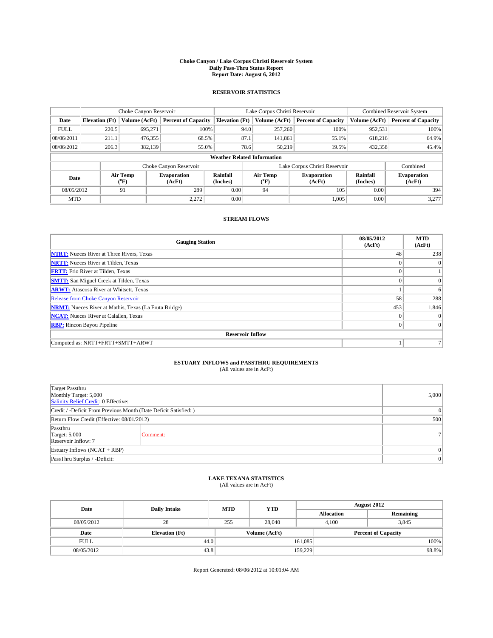## **Choke Canyon / Lake Corpus Christi Reservoir System Daily Pass-Thru Status Report Report Date: August 6, 2012**

#### **RESERVOIR STATISTICS**

|             |                                                                                                                                                                       | Choke Canyon Reservoir |                            |                             | Lake Corpus Christi Reservoir      | Combined Reservoir System     |               |                            |
|-------------|-----------------------------------------------------------------------------------------------------------------------------------------------------------------------|------------------------|----------------------------|-----------------------------|------------------------------------|-------------------------------|---------------|----------------------------|
| Date        | <b>Elevation</b> (Ft)                                                                                                                                                 | Volume (AcFt)          | <b>Percent of Capacity</b> | <b>Elevation</b> (Ft)       | Volume (AcFt)                      | <b>Percent of Capacity</b>    | Volume (AcFt) | <b>Percent of Capacity</b> |
| <b>FULL</b> | 220.5                                                                                                                                                                 | 695,271                | 100%                       |                             | 257,260<br>94.0                    | 100%                          | 952,531       | 100%                       |
| 08/06/2011  | 211.1                                                                                                                                                                 | 476,355                | 68.5%                      |                             | 87.1<br>141,861                    | 55.1%                         | 618,216       | 64.9%                      |
| 08/06/2012  | 206.3                                                                                                                                                                 | 382,139                | 55.0%                      |                             | 78.6<br>50,219                     | 19.5%                         | 432,358       | 45.4%                      |
|             |                                                                                                                                                                       |                        |                            |                             | <b>Weather Related Information</b> |                               |               |                            |
|             |                                                                                                                                                                       |                        | Choke Canyon Reservoir     |                             |                                    | Lake Corpus Christi Reservoir |               | Combined                   |
| Date        | <b>Rainfall</b><br>Air Temp<br>Air Temp<br><b>Evaporation</b><br><b>Evaporation</b><br>$\rm ^{(o}F)$<br>(Inches)<br>$({}^{\mathrm{o}}\mathrm{F})$<br>(AcFt)<br>(AcFt) |                        |                            | <b>Rainfall</b><br>(Inches) | <b>Evaporation</b><br>(AcFt)       |                               |               |                            |
| 08/05/2012  | 91                                                                                                                                                                    |                        | 289                        | 0.00                        | 94                                 | 105                           | 0.00          | 394                        |
| <b>MTD</b>  |                                                                                                                                                                       |                        | 2.272                      | 0.00                        |                                    | 1,005                         | 0.00          | 3,277                      |

### **STREAM FLOWS**

| <b>Gauging Station</b>                                       | 08/05/2012<br>(AcFt) | <b>MTD</b><br>(AcFt) |  |  |  |  |
|--------------------------------------------------------------|----------------------|----------------------|--|--|--|--|
| <b>NTRT:</b> Nueces River at Three Rivers, Texas             | 48                   | 238                  |  |  |  |  |
| <b>NRTT:</b> Nueces River at Tilden, Texas                   |                      | $\Omega$             |  |  |  |  |
| <b>FRTT:</b> Frio River at Tilden, Texas                     |                      |                      |  |  |  |  |
| <b>SMTT:</b> San Miguel Creek at Tilden, Texas               |                      | $\Omega$             |  |  |  |  |
| <b>ARWT:</b> Atascosa River at Whitsett, Texas               |                      | 6                    |  |  |  |  |
| <b>Release from Choke Canyon Reservoir</b>                   | 58                   | 288                  |  |  |  |  |
| <b>NRMT:</b> Nueces River at Mathis, Texas (La Fruta Bridge) | 453                  | 1,846                |  |  |  |  |
| <b>NCAT:</b> Nueces River at Calallen, Texas                 | $\Omega$             | $\Omega$             |  |  |  |  |
| <b>RBP:</b> Rincon Bayou Pipeline                            | $\theta$             | $\Omega$             |  |  |  |  |
| <b>Reservoir Inflow</b>                                      |                      |                      |  |  |  |  |
| Computed as: NRTT+FRTT+SMTT+ARWT                             |                      |                      |  |  |  |  |

## **ESTUARY INFLOWS and PASSTHRU REQUIREMENTS**

| (All values are in AcFt) |  |
|--------------------------|--|
|--------------------------|--|

| Target Passthru<br>Monthly Target: 5,000<br>Salinity Relief Credit: 0 Effective: |                |   |  |  |  |
|----------------------------------------------------------------------------------|----------------|---|--|--|--|
| Credit / -Deficit From Previous Month (Date Deficit Satisfied: )                 |                |   |  |  |  |
| Return Flow Credit (Effective: 08/01/2012)                                       |                |   |  |  |  |
| Passthru<br><b>Target: 5,000</b><br>Reservoir Inflow: 7                          | 7 <sup>1</sup> |   |  |  |  |
| Estuary Inflows (NCAT + RBP)                                                     |                |   |  |  |  |
| PassThru Surplus / -Deficit:                                                     |                | 0 |  |  |  |

## **LAKE TEXANA STATISTICS** (All values are in AcFt)

| Date        | <b>Daily Intake</b>   | <b>MTD</b> | <b>YTD</b>    | <b>August 2012</b> |  |                            |  |
|-------------|-----------------------|------------|---------------|--------------------|--|----------------------------|--|
|             |                       |            |               | <b>Allocation</b>  |  | Remaining                  |  |
| 08/05/2012  | 28                    | 255        | 28,040        | 4,100              |  | 3,845                      |  |
| Date        | <b>Elevation</b> (Ft) |            | Volume (AcFt) |                    |  | <b>Percent of Capacity</b> |  |
| <b>FULL</b> | 44.0                  |            |               | 161,085            |  | 100%                       |  |
| 08/05/2012  | 43.8                  |            |               | 159,229            |  | 98.8%                      |  |

Report Generated: 08/06/2012 at 10:01:04 AM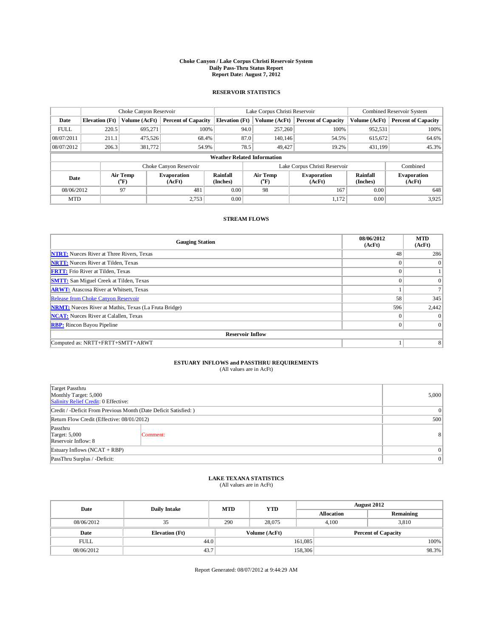## **Choke Canyon / Lake Corpus Christi Reservoir System Daily Pass-Thru Status Report Report Date: August 7, 2012**

### **RESERVOIR STATISTICS**

|             |                       | Choke Canyon Reservoir    |                              |                             | Lake Corpus Christi Reservoir                                             | Combined Reservoir System     |                             |                              |
|-------------|-----------------------|---------------------------|------------------------------|-----------------------------|---------------------------------------------------------------------------|-------------------------------|-----------------------------|------------------------------|
| Date        | <b>Elevation</b> (Ft) | Volume (AcFt)             | <b>Percent of Capacity</b>   | <b>Elevation</b> (Ft)       | Volume (AcFt)                                                             | <b>Percent of Capacity</b>    | Volume (AcFt)               | <b>Percent of Capacity</b>   |
| <b>FULL</b> | 220.5                 | 695,271                   | 100%                         |                             | 257,260<br>94.0                                                           | 100%                          | 952,531                     | 100%                         |
| 08/07/2011  | 211.1                 | 475,526                   | 68.4%                        |                             | 87.0<br>140, 146                                                          | 54.5%                         | 615,672                     | 64.6%                        |
| 08/07/2012  | 206.3                 | 381,772                   | 54.9%                        |                             | 78.5<br>49,427                                                            | 19.2%                         | 431,199                     | 45.3%                        |
|             |                       |                           |                              |                             | <b>Weather Related Information</b>                                        |                               |                             |                              |
|             |                       |                           | Choke Canyon Reservoir       |                             |                                                                           | Lake Corpus Christi Reservoir |                             | Combined                     |
| Date        |                       | Air Temp<br>$\rm ^{(o}F)$ | <b>Evaporation</b><br>(AcFt) | <b>Rainfall</b><br>(Inches) | Air Temp<br><b>Evaporation</b><br>$({}^{\mathrm{o}}\mathrm{F})$<br>(AcFt) |                               | <b>Rainfall</b><br>(Inches) | <b>Evaporation</b><br>(AcFt) |
| 08/06/2012  |                       | 97                        | 481                          | 0.00                        | 98                                                                        | 167                           | 0.00                        | 648                          |
|             | 2.753<br><b>MTD</b>   |                           | 0.00                         |                             | 1,172                                                                     | 0.00                          | 3,925                       |                              |

#### **STREAM FLOWS**

| <b>Gauging Station</b>                                       | 08/06/2012<br>(AcFt) | <b>MTD</b><br>(AcFt) |  |  |  |  |
|--------------------------------------------------------------|----------------------|----------------------|--|--|--|--|
| <b>NTRT:</b> Nueces River at Three Rivers, Texas             | 48                   | 286                  |  |  |  |  |
| <b>NRTT:</b> Nueces River at Tilden, Texas                   |                      | $\Omega$             |  |  |  |  |
| <b>FRTT:</b> Frio River at Tilden, Texas                     |                      |                      |  |  |  |  |
| <b>SMTT:</b> San Miguel Creek at Tilden, Texas               | $\theta$             | $\Omega$             |  |  |  |  |
| <b>ARWT:</b> Atascosa River at Whitsett, Texas               |                      |                      |  |  |  |  |
| <b>Release from Choke Canyon Reservoir</b>                   | 58                   | 345                  |  |  |  |  |
| <b>NRMT:</b> Nueces River at Mathis, Texas (La Fruta Bridge) | 596                  | 2,442                |  |  |  |  |
| <b>NCAT:</b> Nueces River at Calallen, Texas                 |                      | $\Omega$             |  |  |  |  |
| <b>RBP:</b> Rincon Bayou Pipeline                            |                      | $\overline{0}$       |  |  |  |  |
| <b>Reservoir Inflow</b>                                      |                      |                      |  |  |  |  |
| Computed as: NRTT+FRTT+SMTT+ARWT                             |                      | 8                    |  |  |  |  |

## **ESTUARY INFLOWS and PASSTHRU REQUIREMENTS**

| (All values are in AcFt) |  |
|--------------------------|--|
|--------------------------|--|

| Target Passthru<br>Monthly Target: 5,000<br>Salinity Relief Credit: 0 Effective: |   |   |  |  |  |
|----------------------------------------------------------------------------------|---|---|--|--|--|
| Credit / -Deficit From Previous Month (Date Deficit Satisfied: )                 |   |   |  |  |  |
| Return Flow Credit (Effective: 08/01/2012)                                       |   |   |  |  |  |
| Passthru<br><b>Target: 5,000</b><br>Reservoir Inflow: 8                          | 8 |   |  |  |  |
| Estuary Inflows (NCAT + RBP)                                                     |   |   |  |  |  |
| PassThru Surplus / -Deficit:                                                     |   | 0 |  |  |  |

## **LAKE TEXANA STATISTICS** (All values are in AcFt)

| Date        | <b>Daily Intake</b>   | <b>MTD</b> | <b>YTD</b>    |         | <b>August 2012</b> |                            |       |  |
|-------------|-----------------------|------------|---------------|---------|--------------------|----------------------------|-------|--|
|             |                       |            |               |         | <b>Allocation</b>  | Remaining                  |       |  |
| 08/06/2012  | 35                    | 290        | 28,075        |         | 4.100              | 3,810                      |       |  |
| Date        | <b>Elevation</b> (Ft) |            | Volume (AcFt) |         |                    | <b>Percent of Capacity</b> |       |  |
| <b>FULL</b> | 44.0                  |            |               | 161,085 |                    |                            | 100%  |  |
| 08/06/2012  | 43.7                  |            |               | 158,306 |                    |                            | 98.3% |  |

Report Generated: 08/07/2012 at 9:44:29 AM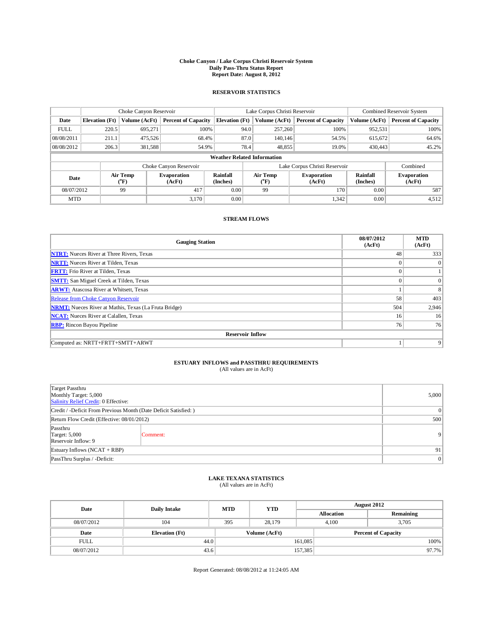## **Choke Canyon / Lake Corpus Christi Reservoir System Daily Pass-Thru Status Report Report Date: August 8, 2012**

### **RESERVOIR STATISTICS**

|             |                       | Choke Canyon Reservoir                                    |                            |                             | Lake Corpus Christi Reservoir                                             | Combined Reservoir System     |                             |                              |
|-------------|-----------------------|-----------------------------------------------------------|----------------------------|-----------------------------|---------------------------------------------------------------------------|-------------------------------|-----------------------------|------------------------------|
| Date        | <b>Elevation</b> (Ft) | Volume (AcFt)                                             | <b>Percent of Capacity</b> | <b>Elevation</b> (Ft)       | Volume (AcFt)                                                             | <b>Percent of Capacity</b>    | Volume (AcFt)               | <b>Percent of Capacity</b>   |
| <b>FULL</b> | 220.5                 | 695,271                                                   | 100%                       |                             | 257,260<br>94.0                                                           | 100%                          | 952,531                     | 100%                         |
| 08/08/2011  | 211.1                 | 475,526                                                   | 68.4%                      |                             | 87.0<br>140, 146                                                          | 54.5%                         | 615,672                     | 64.6%                        |
| 08/08/2012  | 206.3                 | 381,588                                                   | 54.9%                      |                             | 78.4<br>48,855                                                            | 19.0%                         | 430,443                     | 45.2%                        |
|             |                       |                                                           |                            |                             | <b>Weather Related Information</b>                                        |                               |                             |                              |
|             |                       |                                                           | Choke Canyon Reservoir     |                             |                                                                           | Lake Corpus Christi Reservoir |                             | Combined                     |
| Date        |                       | Air Temp<br><b>Evaporation</b><br>$\rm ^{(o}F)$<br>(AcFt) |                            | <b>Rainfall</b><br>(Inches) | Air Temp<br><b>Evaporation</b><br>$({}^{\mathrm{o}}\mathrm{F})$<br>(AcFt) |                               | <b>Rainfall</b><br>(Inches) | <b>Evaporation</b><br>(AcFt) |
| 08/07/2012  |                       | 99                                                        | 417                        | 0.00                        | 99                                                                        | 170                           | 0.00                        | 587                          |
| <b>MTD</b>  |                       |                                                           | 3.170                      | 0.00                        | 1,342                                                                     |                               | 0.00                        | 4,512                        |

### **STREAM FLOWS**

| <b>Gauging Station</b>                                       | 08/07/2012<br>(AcFt) | <b>MTD</b><br>(AcFt) |  |  |  |  |  |
|--------------------------------------------------------------|----------------------|----------------------|--|--|--|--|--|
| <b>NTRT:</b> Nueces River at Three Rivers, Texas             | 48                   | 333                  |  |  |  |  |  |
| <b>NRTT:</b> Nueces River at Tilden, Texas                   |                      | $\Omega$             |  |  |  |  |  |
| <b>FRTT:</b> Frio River at Tilden, Texas                     | $\theta$             |                      |  |  |  |  |  |
| <b>SMTT:</b> San Miguel Creek at Tilden, Texas               |                      | $\Omega$             |  |  |  |  |  |
| <b>ARWT:</b> Atascosa River at Whitsett, Texas               |                      |                      |  |  |  |  |  |
| <b>Release from Choke Canyon Reservoir</b>                   | 58                   | 403                  |  |  |  |  |  |
| <b>NRMT:</b> Nueces River at Mathis, Texas (La Fruta Bridge) | 504                  | 2,946                |  |  |  |  |  |
| <b>NCAT:</b> Nueces River at Calallen, Texas                 | 16                   | 16                   |  |  |  |  |  |
| <b>RBP:</b> Rincon Bayou Pipeline                            | 76                   | 76                   |  |  |  |  |  |
| <b>Reservoir Inflow</b>                                      |                      |                      |  |  |  |  |  |
| Computed as: NRTT+FRTT+SMTT+ARWT                             |                      | 9                    |  |  |  |  |  |

## **ESTUARY INFLOWS and PASSTHRU REQUIREMENTS**

| (All values are in AcFt) |  |
|--------------------------|--|
|--------------------------|--|

| Target Passthru<br>Monthly Target: 5,000<br>Salinity Relief Credit: 0 Effective: |          |                |  |  |  |
|----------------------------------------------------------------------------------|----------|----------------|--|--|--|
| Credit / -Deficit From Previous Month (Date Deficit Satisfied: )                 |          |                |  |  |  |
| Return Flow Credit (Effective: 08/01/2012)                                       |          |                |  |  |  |
| Passthru<br><b>Target: 5,000</b><br>Reservoir Inflow: 9                          | Comment: | 9 <sub>1</sub> |  |  |  |
| Estuary Inflows (NCAT + RBP)                                                     | 91.      |                |  |  |  |
| PassThru Surplus / -Deficit:                                                     |          |                |  |  |  |

## **LAKE TEXANA STATISTICS** (All values are in AcFt)

| Date        | <b>Daily Intake</b>   | <b>MTD</b> | <b>YTD</b>    | <b>August 2012</b> |                            |           |       |
|-------------|-----------------------|------------|---------------|--------------------|----------------------------|-----------|-------|
|             |                       |            |               |                    | <b>Allocation</b>          | Remaining |       |
| 08/07/2012  | 104                   | 395        | 28.179        |                    | 4.100<br>3.705             |           |       |
| Date        | <b>Elevation</b> (Ft) |            | Volume (AcFt) |                    | <b>Percent of Capacity</b> |           |       |
| <b>FULL</b> | 44.0                  |            |               | 161,085            |                            |           | 100%  |
| 08/07/2012  | 43.6                  |            |               | 157,385            |                            |           | 97.7% |

Report Generated: 08/08/2012 at 11:24:05 AM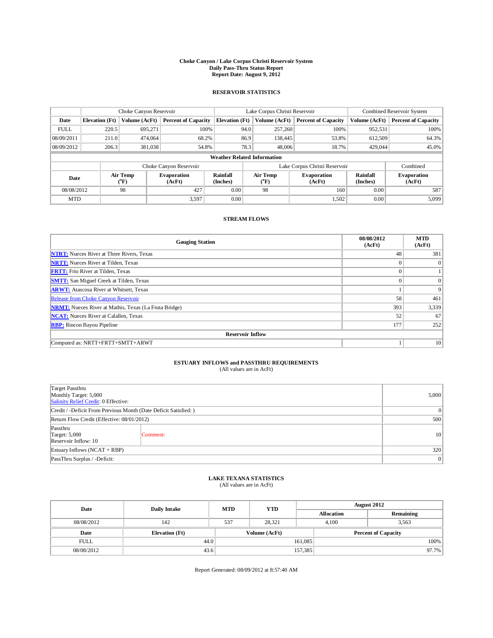## **Choke Canyon / Lake Corpus Christi Reservoir System Daily Pass-Thru Status Report Report Date: August 9, 2012**

### **RESERVOIR STATISTICS**

|             | Choke Canyon Reservoir |                          | Lake Corpus Christi Reservoir |                                                                                 |                                        |                             | Combined Reservoir System     |         |                            |               |                            |
|-------------|------------------------|--------------------------|-------------------------------|---------------------------------------------------------------------------------|----------------------------------------|-----------------------------|-------------------------------|---------|----------------------------|---------------|----------------------------|
| Date        | <b>Elevation</b> (Ft)  | Volume (AcFt)            | <b>Percent of Capacity</b>    |                                                                                 | <b>Elevation</b> (Ft)<br>Volume (AcFt) |                             |                               |         | <b>Percent of Capacity</b> | Volume (AcFt) | <b>Percent of Capacity</b> |
| <b>FULL</b> | 220.5                  | 695.271                  | 100%                          |                                                                                 | 94.0                                   | 257,260                     | 100%                          | 952,531 | 100%                       |               |                            |
| 08/09/2011  | 211.0                  | 474,064                  | 68.2%                         |                                                                                 | 86.9                                   | 138,445                     | 53.8%                         | 612.509 | 64.3%                      |               |                            |
| 08/09/2012  | 206.3                  | 381,038                  | 54.8%                         |                                                                                 | 78.3                                   | 48,006                      | 18.7%                         | 429,044 | 45.0%                      |               |                            |
|             |                        |                          |                               | <b>Weather Related Information</b>                                              |                                        |                             |                               |         |                            |               |                            |
|             |                        |                          | Choke Canyon Reservoir        |                                                                                 |                                        |                             | Lake Corpus Christi Reservoir |         | Combined                   |               |                            |
| Date        |                        | Air Temp<br>$\rm ^{o}F)$ | <b>Evaporation</b><br>(AcFt)  | <b>Rainfall</b><br>Air Temp<br><b>Evaporation</b><br>(Inches)<br>("F)<br>(AcFt) |                                        | <b>Rainfall</b><br>(Inches) | <b>Evaporation</b><br>(AcFt)  |         |                            |               |                            |
| 08/08/2012  |                        | 98                       | 427                           | 0.00                                                                            | 98                                     |                             | 160                           | 0.00    | 587                        |               |                            |
| <b>MTD</b>  |                        |                          | 3.597                         | 0.00                                                                            |                                        |                             | 1,502                         | 0.00    | 5,099                      |               |                            |

#### **STREAM FLOWS**

| <b>Gauging Station</b>                                       | 08/08/2012<br>(AcFt) | <b>MTD</b><br>(AcFt) |  |  |  |  |
|--------------------------------------------------------------|----------------------|----------------------|--|--|--|--|
| <b>NTRT:</b> Nueces River at Three Rivers, Texas             | 48                   | 381                  |  |  |  |  |
| <b>NRTT:</b> Nueces River at Tilden, Texas                   |                      | $\Omega$             |  |  |  |  |
| <b>FRTT:</b> Frio River at Tilden, Texas                     | $\theta$             |                      |  |  |  |  |
| <b>SMTT:</b> San Miguel Creek at Tilden, Texas               | $\theta$             | $\Omega$             |  |  |  |  |
| <b>ARWT:</b> Atascosa River at Whitsett, Texas               |                      | 9                    |  |  |  |  |
| <b>Release from Choke Canyon Reservoir</b>                   | 58                   | 461                  |  |  |  |  |
| <b>NRMT:</b> Nueces River at Mathis, Texas (La Fruta Bridge) | 393                  | 3,339                |  |  |  |  |
| <b>NCAT:</b> Nueces River at Calallen, Texas                 | 52                   | 67                   |  |  |  |  |
| <b>RBP:</b> Rincon Bayou Pipeline                            | 177                  | 252                  |  |  |  |  |
| <b>Reservoir Inflow</b>                                      |                      |                      |  |  |  |  |
| Computed as: NRTT+FRTT+SMTT+ARWT                             |                      | 10                   |  |  |  |  |

## **ESTUARY INFLOWS and PASSTHRU REQUIREMENTS**

|  |  | (All values are in AcFt) |  |
|--|--|--------------------------|--|
|--|--|--------------------------|--|

| Target Passthru<br>Monthly Target: 5,000<br>Salinity Relief Credit: 0 Effective: |          |                 |  |  |
|----------------------------------------------------------------------------------|----------|-----------------|--|--|
| Credit / -Deficit From Previous Month (Date Deficit Satisfied: )                 |          |                 |  |  |
| Return Flow Credit (Effective: 08/01/2012)                                       |          |                 |  |  |
| Passthru<br><b>Target: 5,000</b><br>Reservoir Inflow: 10                         | Comment: | 10 <sup>1</sup> |  |  |
| Estuary Inflows $(NCAT + RBP)$                                                   | 320      |                 |  |  |
| PassThru Surplus / -Deficit:                                                     |          |                 |  |  |

## **LAKE TEXANA STATISTICS** (All values are in AcFt)

| Date        | <b>Daily Intake</b>   | <b>MTD</b> | <b>YTD</b>    | <b>August 2012</b> |                            |           |       |
|-------------|-----------------------|------------|---------------|--------------------|----------------------------|-----------|-------|
|             |                       |            |               |                    | <b>Allocation</b>          | Remaining |       |
| 08/08/2012  | 142                   | 537        | 28.321        |                    | 4.100                      | 3,563     |       |
| Date        | <b>Elevation</b> (Ft) |            | Volume (AcFt) |                    | <b>Percent of Capacity</b> |           |       |
| <b>FULL</b> | 44.0                  |            |               | 161,085            |                            |           | 100%  |
| 08/08/2012  | 43.6                  |            |               | 157,385            |                            |           | 97.7% |

Report Generated: 08/09/2012 at 8:57:40 AM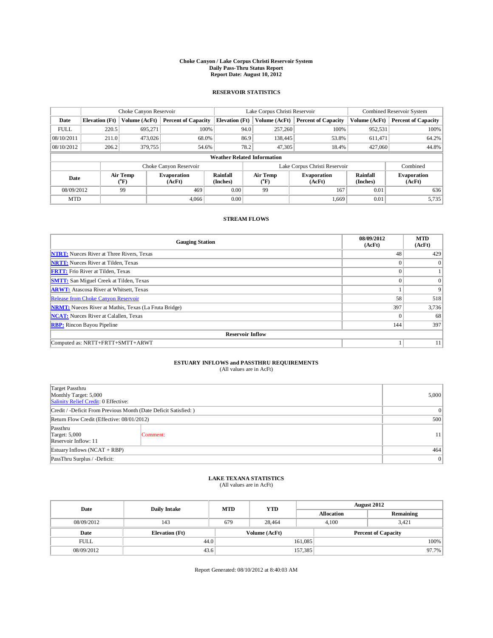## **Choke Canyon / Lake Corpus Christi Reservoir System Daily Pass-Thru Status Report Report Date: August 10, 2012**

### **RESERVOIR STATISTICS**

|             | Choke Canyon Reservoir |                          |                              |                                                                  | Lake Corpus Christi Reservoir |                    |                               |                              | Combined Reservoir System  |  |  |
|-------------|------------------------|--------------------------|------------------------------|------------------------------------------------------------------|-------------------------------|--------------------|-------------------------------|------------------------------|----------------------------|--|--|
| Date        | <b>Elevation</b> (Ft)  | Volume (AcFt)            | <b>Percent of Capacity</b>   | <b>Elevation</b> (Ft)                                            |                               | Volume (AcFt)      | <b>Percent of Capacity</b>    | Volume (AcFt)                | <b>Percent of Capacity</b> |  |  |
| <b>FULL</b> | 220.5                  | 695,271                  | 100%                         |                                                                  | 94.0                          | 257,260            | 100%                          | 952,531                      | 100%                       |  |  |
| 08/10/2011  | 211.0                  | 473,026                  | 68.0%                        |                                                                  | 86.9                          | 138,445            | 53.8%                         | 611,471                      | 64.2%                      |  |  |
| 08/10/2012  | 206.2                  | 379,755                  | 54.6%                        |                                                                  | 78.2                          | 47.305             | 18.4%                         | 427,060                      | 44.8%                      |  |  |
|             |                        |                          |                              | <b>Weather Related Information</b>                               |                               |                    |                               |                              |                            |  |  |
|             |                        |                          | Choke Canyon Reservoir       |                                                                  |                               |                    | Lake Corpus Christi Reservoir |                              | Combined                   |  |  |
| Date        |                        | Air Temp<br>$\rm ^{o}F)$ | <b>Evaporation</b><br>(AcFt) | <b>Rainfall</b><br><b>Air Temp</b><br>(Inches)<br>("F)<br>(AcFt) |                               | <b>Evaporation</b> | <b>Rainfall</b><br>(Inches)   | <b>Evaporation</b><br>(AcFt) |                            |  |  |
| 08/09/2012  |                        | 99                       | 469                          | 0.00                                                             | 99                            |                    | 167                           | 0.01                         | 636                        |  |  |
| <b>MTD</b>  |                        |                          | 4.066                        | 0.00                                                             |                               |                    | 1,669                         | 0.01                         | 5,735                      |  |  |

#### **STREAM FLOWS**

| <b>Gauging Station</b>                                       | 08/09/2012<br>(AcFt) | <b>MTD</b><br>(AcFt) |  |  |  |  |
|--------------------------------------------------------------|----------------------|----------------------|--|--|--|--|
| <b>NTRT:</b> Nueces River at Three Rivers, Texas             | 48                   | 429                  |  |  |  |  |
| <b>NRTT:</b> Nueces River at Tilden, Texas                   |                      | $\Omega$             |  |  |  |  |
| <b>FRTT:</b> Frio River at Tilden, Texas                     |                      |                      |  |  |  |  |
| <b>SMTT:</b> San Miguel Creek at Tilden, Texas               | $\theta$             | $\Omega$             |  |  |  |  |
| <b>ARWT:</b> Atascosa River at Whitsett, Texas               |                      | 9                    |  |  |  |  |
| <b>Release from Choke Canyon Reservoir</b>                   | 58                   | 518                  |  |  |  |  |
| <b>NRMT:</b> Nueces River at Mathis, Texas (La Fruta Bridge) | 397                  | 3,736                |  |  |  |  |
| <b>NCAT:</b> Nueces River at Calallen, Texas                 | $\Omega$             | 68                   |  |  |  |  |
| <b>RBP:</b> Rincon Bayou Pipeline                            | 144                  | 397                  |  |  |  |  |
| <b>Reservoir Inflow</b>                                      |                      |                      |  |  |  |  |
| Computed as: NRTT+FRTT+SMTT+ARWT                             |                      | 11                   |  |  |  |  |

## **ESTUARY INFLOWS and PASSTHRU REQUIREMENTS**

|  | (All values are in AcFt) |  |  |  |
|--|--------------------------|--|--|--|
|--|--------------------------|--|--|--|

| Target Passthru<br>Monthly Target: 5,000<br>Salinity Relief Credit: 0 Effective: |          |                 |  |  |
|----------------------------------------------------------------------------------|----------|-----------------|--|--|
| Credit / -Deficit From Previous Month (Date Deficit Satisfied: )                 |          |                 |  |  |
| Return Flow Credit (Effective: 08/01/2012)                                       |          |                 |  |  |
| Passthru<br><b>Target: 5,000</b><br>Reservoir Inflow: 11                         | Comment: | 11 <sup>1</sup> |  |  |
| Estuary Inflows (NCAT + RBP)                                                     | 464      |                 |  |  |
| PassThru Surplus / -Deficit:                                                     |          |                 |  |  |

## **LAKE TEXANA STATISTICS** (All values are in AcFt)

| Date        | <b>Daily Intake</b>   | <b>MTD</b> | <b>YTD</b>    | <b>August 2012</b> |                            |           |       |
|-------------|-----------------------|------------|---------------|--------------------|----------------------------|-----------|-------|
|             |                       |            |               |                    | <b>Allocation</b>          | Remaining |       |
| 08/09/2012  | 143                   | 679        | 28.464        |                    | 4.100                      | 3.421     |       |
| Date        | <b>Elevation</b> (Ft) |            | Volume (AcFt) |                    | <b>Percent of Capacity</b> |           |       |
| <b>FULL</b> | 44.0                  |            |               | 161,085            |                            |           | 100%  |
| 08/09/2012  | 43.6                  |            |               | 157,385            |                            |           | 97.7% |

Report Generated: 08/10/2012 at 8:40:03 AM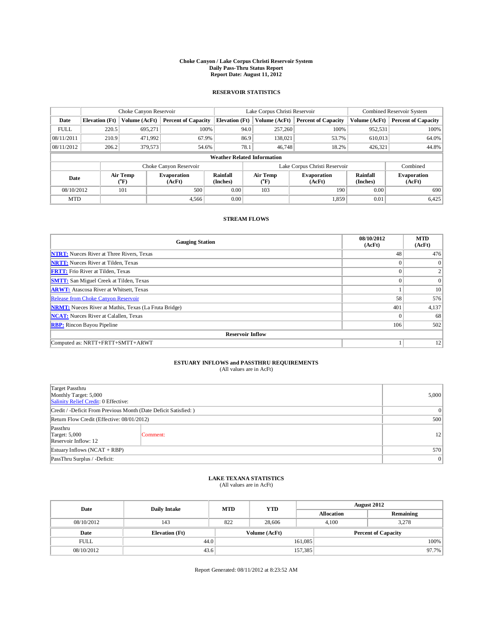## **Choke Canyon / Lake Corpus Christi Reservoir System Daily Pass-Thru Status Report Report Date: August 11, 2012**

### **RESERVOIR STATISTICS**

|             | Choke Canyon Reservoir             |                          |                              | Lake Corpus Christi Reservoir | Combined Reservoir System     |                         |                              |                             |                              |
|-------------|------------------------------------|--------------------------|------------------------------|-------------------------------|-------------------------------|-------------------------|------------------------------|-----------------------------|------------------------------|
| Date        | <b>Elevation</b> (Ft)              | Volume (AcFt)            | <b>Percent of Capacity</b>   | <b>Elevation</b> (Ft)         |                               | Volume (AcFt)           | <b>Percent of Capacity</b>   | Volume (AcFt)               | <b>Percent of Capacity</b>   |
| <b>FULL</b> | 220.5                              | 695,271                  | 100%                         |                               | 94.0                          | 257,260                 | 100%                         | 952,531                     | 100%                         |
| 08/11/2011  | 210.9                              | 471,992                  | 67.9%                        |                               | 86.9                          | 138,021                 | 53.7%                        | 610,013                     | 64.0%                        |
| 08/11/2012  | 206.2                              | 379,573                  | 54.6%                        |                               | 78.1                          | 46,748                  | 18.2%                        | 426,321                     | 44.8%                        |
|             | <b>Weather Related Information</b> |                          |                              |                               |                               |                         |                              |                             |                              |
|             |                                    |                          | Choke Canyon Reservoir       |                               | Lake Corpus Christi Reservoir |                         |                              |                             |                              |
| Date        |                                    | Air Temp<br>$\rm ^{o}F)$ | <b>Evaporation</b><br>(AcFt) | <b>Rainfall</b><br>(Inches)   |                               | <b>Air Temp</b><br>("F) | <b>Evaporation</b><br>(AcFt) | <b>Rainfall</b><br>(Inches) | <b>Evaporation</b><br>(AcFt) |
| 08/10/2012  | 101                                |                          | 500                          | 0.00                          |                               | 103                     |                              | 0.00                        | 690                          |
| <b>MTD</b>  |                                    |                          | 4.566                        | 0.00                          |                               |                         | 1,859                        | 0.01                        | 6,425                        |

#### **STREAM FLOWS**

| <b>Gauging Station</b>                                       | 08/10/2012<br>(AcFt) | <b>MTD</b><br>(AcFt) |  |  |  |  |  |
|--------------------------------------------------------------|----------------------|----------------------|--|--|--|--|--|
| <b>NTRT:</b> Nueces River at Three Rivers, Texas             | 48                   | 476                  |  |  |  |  |  |
| <b>NRTT:</b> Nueces River at Tilden, Texas                   | $\theta$             | $\overline{0}$       |  |  |  |  |  |
| <b>FRTT:</b> Frio River at Tilden, Texas                     | $\theta$             | $\overline{2}$       |  |  |  |  |  |
| <b>SMTT:</b> San Miguel Creek at Tilden, Texas               | $\theta$             | $\overline{0}$       |  |  |  |  |  |
| <b>ARWT:</b> Atascosa River at Whitsett, Texas               |                      | 10                   |  |  |  |  |  |
| <b>Release from Choke Canyon Reservoir</b>                   | 58                   | 576                  |  |  |  |  |  |
| <b>NRMT:</b> Nueces River at Mathis, Texas (La Fruta Bridge) | 401                  | 4,137                |  |  |  |  |  |
| <b>NCAT:</b> Nueces River at Calallen, Texas                 | $\theta$             | 68                   |  |  |  |  |  |
| <b>RBP:</b> Rincon Bayou Pipeline                            | 106                  | 502                  |  |  |  |  |  |
| <b>Reservoir Inflow</b>                                      |                      |                      |  |  |  |  |  |
| Computed as: NRTT+FRTT+SMTT+ARWT                             |                      | 12                   |  |  |  |  |  |

## **ESTUARY INFLOWS and PASSTHRU REQUIREMENTS**

|  | (All values are in AcFt) |  |
|--|--------------------------|--|
|--|--------------------------|--|

| Target Passthru<br>Monthly Target: 5,000<br>Salinity Relief Credit: 0 Effective: |          |    |  |  |  |
|----------------------------------------------------------------------------------|----------|----|--|--|--|
| Credit / -Deficit From Previous Month (Date Deficit Satisfied: )                 |          |    |  |  |  |
| Return Flow Credit (Effective: 08/01/2012)                                       | 500      |    |  |  |  |
| Passthru<br><b>Target: 5,000</b><br>Reservoir Inflow: 12                         | Comment: | 12 |  |  |  |
| Estuary Inflows (NCAT + RBP)                                                     | 570      |    |  |  |  |
| PassThru Surplus / -Deficit:                                                     | 0        |    |  |  |  |

## **LAKE TEXANA STATISTICS** (All values are in AcFt)

| Date        | <b>Daily Intake</b>   | <b>MTD</b> | <b>YTD</b>    | <b>August 2012</b> |                            |           |       |
|-------------|-----------------------|------------|---------------|--------------------|----------------------------|-----------|-------|
|             |                       |            |               | <b>Allocation</b>  |                            | Remaining |       |
| 08/10/2012  | 143                   | 822        | 28,606        |                    | 3.278<br>4.100             |           |       |
| Date        | <b>Elevation</b> (Ft) |            | Volume (AcFt) |                    | <b>Percent of Capacity</b> |           |       |
| <b>FULL</b> | 44.0                  |            |               | 161,085            |                            |           | 100%  |
| 08/10/2012  | 43.6                  |            |               | 157,385            |                            |           | 97.7% |

Report Generated: 08/11/2012 at 8:23:52 AM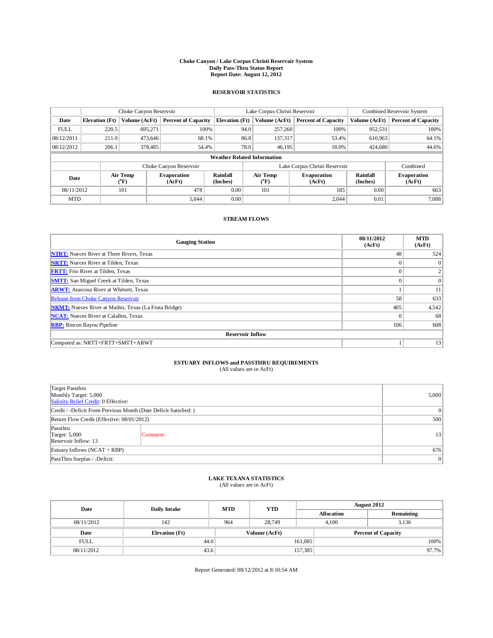## **Choke Canyon / Lake Corpus Christi Reservoir System Daily Pass-Thru Status Report Report Date: August 12, 2012**

### **RESERVOIR STATISTICS**

|             |                                    |                          | Lake Corpus Christi Reservoir |                             |                               |                         | Combined Reservoir System    |                             |                              |
|-------------|------------------------------------|--------------------------|-------------------------------|-----------------------------|-------------------------------|-------------------------|------------------------------|-----------------------------|------------------------------|
| Date        | <b>Elevation</b> (Ft)              | Volume (AcFt)            | <b>Percent of Capacity</b>    | <b>Elevation</b> (Ft)       |                               | Volume (AcFt)           | <b>Percent of Capacity</b>   | Volume (AcFt)               | <b>Percent of Capacity</b>   |
| <b>FULL</b> | 220.5                              | 695,271                  | 100%                          |                             | 94.0                          | 257,260                 | 100%                         | 952,531                     | 100%                         |
| 08/12/2011  | 211.0                              | 473.646                  | 68.1%                         |                             | 86.8                          | 137,317                 | 53.4%                        | 610,963                     | 64.1%                        |
| 08/12/2012  | 206.1                              | 378,485                  | 54.4%                         |                             | 78.0                          | 46,195                  | 18.0%                        | 424,680                     | 44.6%                        |
|             | <b>Weather Related Information</b> |                          |                               |                             |                               |                         |                              |                             |                              |
|             |                                    |                          | Choke Canyon Reservoir        |                             | Lake Corpus Christi Reservoir |                         |                              |                             |                              |
| Date        |                                    | Air Temp<br>$\rm ^{o}F)$ | <b>Evaporation</b><br>(AcFt)  | <b>Rainfall</b><br>(Inches) |                               | <b>Air Temp</b><br>("F) | <b>Evaporation</b><br>(AcFt) | <b>Rainfall</b><br>(Inches) | <b>Evaporation</b><br>(AcFt) |
| 08/11/2012  | 101                                |                          | 478                           | 0.00                        | 101                           |                         | 185                          | 0.00                        | 663                          |
| <b>MTD</b>  |                                    |                          | 5,044                         | 0.00                        |                               |                         | 2,044                        | 0.01                        | 7,088                        |

#### **STREAM FLOWS**

| <b>Gauging Station</b>                                       | 08/11/2012<br>(AcFt) | <b>MTD</b><br>(AcFt) |  |  |  |  |  |
|--------------------------------------------------------------|----------------------|----------------------|--|--|--|--|--|
| <b>NTRT:</b> Nueces River at Three Rivers, Texas             | 48                   | 524                  |  |  |  |  |  |
| <b>NRTT:</b> Nueces River at Tilden, Texas                   |                      | $\Omega$             |  |  |  |  |  |
| <b>FRTT:</b> Frio River at Tilden, Texas                     | $\theta$             |                      |  |  |  |  |  |
| <b>SMTT:</b> San Miguel Creek at Tilden, Texas               | $\theta$             | $\Omega$             |  |  |  |  |  |
| <b>ARWT:</b> Atascosa River at Whitsett, Texas               |                      | 11                   |  |  |  |  |  |
| <b>Release from Choke Canyon Reservoir</b>                   | 58                   | 633                  |  |  |  |  |  |
| <b>NRMT:</b> Nueces River at Mathis, Texas (La Fruta Bridge) | 405                  | 4,542                |  |  |  |  |  |
| <b>NCAT:</b> Nueces River at Calallen, Texas                 | $\theta$             | 68                   |  |  |  |  |  |
| <b>RBP:</b> Rincon Bayou Pipeline                            | 106                  | 608                  |  |  |  |  |  |
| <b>Reservoir Inflow</b>                                      |                      |                      |  |  |  |  |  |
| Computed as: NRTT+FRTT+SMTT+ARWT                             |                      | 13                   |  |  |  |  |  |

## **ESTUARY INFLOWS and PASSTHRU REQUIREMENTS**

|  | (All values are in AcFt) |  |
|--|--------------------------|--|
|--|--------------------------|--|

| Target Passthru<br>Monthly Target: 5,000<br>Salinity Relief Credit: 0 Effective: | 5,000           |    |
|----------------------------------------------------------------------------------|-----------------|----|
| Credit / -Deficit From Previous Month (Date Deficit Satisfied: )                 | $\vert 0 \vert$ |    |
| Return Flow Credit (Effective: 08/01/2012)                                       | 500             |    |
| Passthru<br><b>Target: 5,000</b><br>Reservoir Inflow: 13                         | Comment:        | 13 |
| Estuary Inflows $(NCAT + RBP)$                                                   | 676             |    |
| PassThru Surplus / -Deficit:                                                     | 0               |    |

## **LAKE TEXANA STATISTICS** (All values are in AcFt)

| Date        | <b>Daily Intake</b>   | <b>MTD</b> | <b>YTD</b>    | <b>August 2012</b> |                            |           |       |
|-------------|-----------------------|------------|---------------|--------------------|----------------------------|-----------|-------|
|             |                       |            |               | <b>Allocation</b>  |                            | Remaining |       |
| 08/11/2012  | 142                   | 964        | 28.749        |                    | 4.100<br>3.136             |           |       |
| Date        | <b>Elevation</b> (Ft) |            | Volume (AcFt) |                    | <b>Percent of Capacity</b> |           |       |
| <b>FULL</b> | 44.0                  |            |               | 161,085            |                            |           | 100%  |
| 08/11/2012  | 43.6                  |            |               | 157,385            |                            |           | 97.7% |

Report Generated: 08/12/2012 at 8:10:54 AM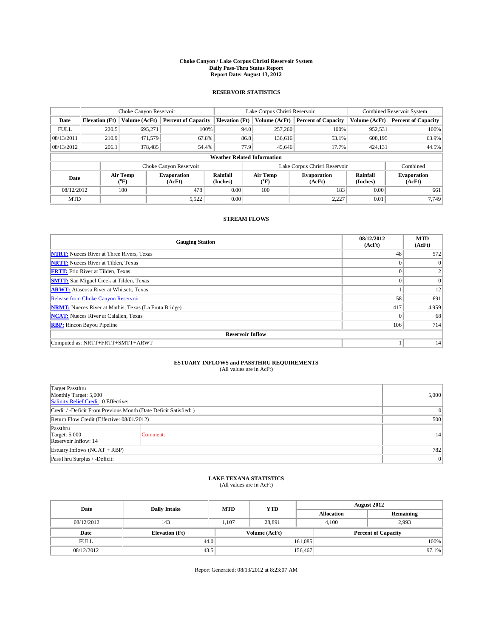## **Choke Canyon / Lake Corpus Christi Reservoir System Daily Pass-Thru Status Report Report Date: August 13, 2012**

### **RESERVOIR STATISTICS**

|             |                                    |               |                              | Lake Corpus Christi Reservoir | Combined Reservoir System     |                         |                              |                             |                              |
|-------------|------------------------------------|---------------|------------------------------|-------------------------------|-------------------------------|-------------------------|------------------------------|-----------------------------|------------------------------|
| Date        | <b>Elevation</b> (Ft)              | Volume (AcFt) | <b>Percent of Capacity</b>   | <b>Elevation</b> (Ft)         |                               | Volume (AcFt)           | <b>Percent of Capacity</b>   | Volume (AcFt)               | <b>Percent of Capacity</b>   |
| <b>FULL</b> | 220.5                              | 695,271       | 100%                         |                               | 94.0                          | 257,260                 | 100%                         | 952,531                     | 100%                         |
| 08/13/2011  | 210.9                              | 471.579       | 67.8%                        |                               | 86.8                          | 136,616                 | 53.1%                        | 608,195                     | 63.9%                        |
| 08/13/2012  | 206.1                              | 378,485       | 54.4%                        |                               | 77.9                          | 45.646                  | 17.7%                        | 424,131                     | 44.5%                        |
|             | <b>Weather Related Information</b> |               |                              |                               |                               |                         |                              |                             |                              |
|             |                                    |               | Choke Canyon Reservoir       |                               | Lake Corpus Christi Reservoir |                         |                              |                             |                              |
| Date        | Air Temp<br>$\rm ^{o}F)$           |               | <b>Evaporation</b><br>(AcFt) | <b>Rainfall</b><br>(Inches)   |                               | <b>Air Temp</b><br>("F) | <b>Evaporation</b><br>(AcFt) | <b>Rainfall</b><br>(Inches) | <b>Evaporation</b><br>(AcFt) |
| 08/12/2012  | 100                                |               | 478                          | 0.00                          | 100                           |                         | 183                          | 0.00                        | 661                          |
| <b>MTD</b>  |                                    |               | 5,522                        | 0.00                          |                               |                         | 2,227                        | 0.01                        | 7.749                        |

### **STREAM FLOWS**

| <b>Gauging Station</b>                                       | 08/12/2012<br>(AcFt) | <b>MTD</b><br>(AcFt) |  |  |  |  |  |
|--------------------------------------------------------------|----------------------|----------------------|--|--|--|--|--|
| <b>NTRT:</b> Nueces River at Three Rivers, Texas             | 48                   | 572                  |  |  |  |  |  |
| <b>NRTT:</b> Nueces River at Tilden, Texas                   | $\theta$             | $\Omega$             |  |  |  |  |  |
| <b>FRTT:</b> Frio River at Tilden, Texas                     | $\theta$             | 2                    |  |  |  |  |  |
| <b>SMTT:</b> San Miguel Creek at Tilden, Texas               | $\theta$             | $\Omega$             |  |  |  |  |  |
| <b>ARWT:</b> Atascosa River at Whitsett, Texas               |                      | 12                   |  |  |  |  |  |
| Release from Choke Canyon Reservoir                          | 58                   | 691                  |  |  |  |  |  |
| <b>NRMT:</b> Nueces River at Mathis, Texas (La Fruta Bridge) | 417                  | 4,959                |  |  |  |  |  |
| <b>NCAT:</b> Nueces River at Calallen, Texas                 | $\theta$             | 68                   |  |  |  |  |  |
| <b>RBP:</b> Rincon Bayou Pipeline                            | 106                  | 714                  |  |  |  |  |  |
| <b>Reservoir Inflow</b>                                      |                      |                      |  |  |  |  |  |
| Computed as: NRTT+FRTT+SMTT+ARWT                             |                      | 14                   |  |  |  |  |  |

# **ESTUARY INFLOWS and PASSTHRU REQUIREMENTS**<br>(All values are in AcFt)

| Target Passthru<br>Monthly Target: 5,000<br>Salinity Relief Credit: 0 Effective: |          |                |  |  |
|----------------------------------------------------------------------------------|----------|----------------|--|--|
| Credit / -Deficit From Previous Month (Date Deficit Satisfied: )                 |          | $\overline{0}$ |  |  |
| Return Flow Credit (Effective: 08/01/2012)                                       |          |                |  |  |
| Passthru<br>Target: 5,000<br>Reservoir Inflow: 14                                | Comment: | 14             |  |  |
| Estuary Inflows (NCAT + RBP)                                                     | 782      |                |  |  |
| PassThru Surplus / -Deficit:                                                     |          | $\overline{0}$ |  |  |

## **LAKE TEXANA STATISTICS** (All values are in AcFt)

| Date        | <b>Daily Intake</b>   | <b>MTD</b> | <b>YTD</b>    | <b>August 2012</b>         |                   |           |       |
|-------------|-----------------------|------------|---------------|----------------------------|-------------------|-----------|-------|
|             |                       |            |               |                            | <b>Allocation</b> | Remaining |       |
| 08/12/2012  | 143                   | 1.107      | 28.891        | 4.100                      |                   | 2.993     |       |
| Date        | <b>Elevation</b> (Ft) |            | Volume (AcFt) | <b>Percent of Capacity</b> |                   |           |       |
| <b>FULL</b> | 44.0                  |            |               | 161,085                    |                   |           | 100%  |
| 08/12/2012  | 43.5                  |            |               | 156,467                    |                   |           | 97.1% |

Report Generated: 08/13/2012 at 8:23:07 AM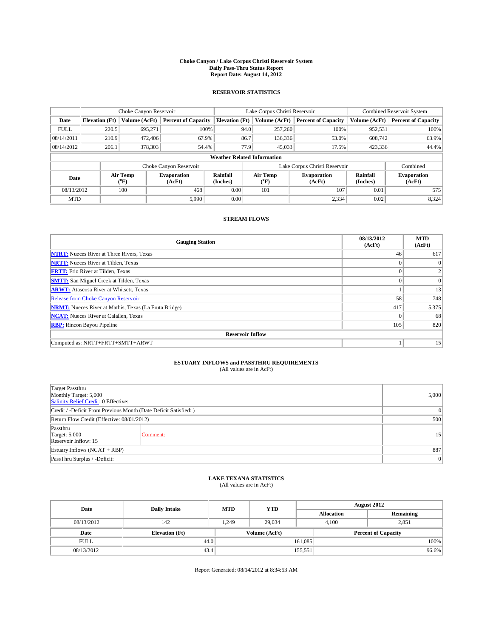## **Choke Canyon / Lake Corpus Christi Reservoir System Daily Pass-Thru Status Report Report Date: August 14, 2012**

### **RESERVOIR STATISTICS**

|             | Choke Canyon Reservoir |                          |                            |                                    | Lake Corpus Christi Reservoir                            |               |                               |                              | Combined Reservoir System  |  |  |
|-------------|------------------------|--------------------------|----------------------------|------------------------------------|----------------------------------------------------------|---------------|-------------------------------|------------------------------|----------------------------|--|--|
| Date        | <b>Elevation</b> (Ft)  | Volume (AcFt)            | <b>Percent of Capacity</b> | <b>Elevation</b> (Ft)              |                                                          | Volume (AcFt) | <b>Percent of Capacity</b>    | Volume (AcFt)                | <b>Percent of Capacity</b> |  |  |
| <b>FULL</b> | 220.5                  | 695,271                  | 100%                       |                                    | 94.0                                                     | 257,260       | 100%                          | 952,531                      | 100%                       |  |  |
| 08/14/2011  | 210.9                  | 472,406                  | 67.9%                      |                                    | 86.7                                                     | 136,336       | 53.0%                         | 608.742                      | 63.9%                      |  |  |
| 08/14/2012  | 206.1                  | 378,303                  | 54.4%                      |                                    | 77.9                                                     | 45,033        | 17.5%                         | 423,336                      | 44.4%                      |  |  |
|             |                        |                          |                            | <b>Weather Related Information</b> |                                                          |               |                               |                              |                            |  |  |
|             |                        |                          | Choke Canyon Reservoir     |                                    |                                                          |               | Lake Corpus Christi Reservoir |                              | Combined                   |  |  |
| Date        |                        | Air Temp<br>$\rm ^{o}F)$ | Evaporation<br>(AcFt)      | Rainfall<br>(Inches)               | Air Temp<br><b>Evaporation</b><br>$\rm ^{o}F)$<br>(AcFt) |               | Rainfall<br>(Inches)          | <b>Evaporation</b><br>(AcFt) |                            |  |  |
| 08/13/2012  |                        | 100                      | 468                        | 0.00                               |                                                          | 101           | 107                           | 0.01                         | 575                        |  |  |
| <b>MTD</b>  |                        |                          | 5,990                      | 0.00                               |                                                          |               | 2,334                         | 0.02                         | 8,324                      |  |  |

### **STREAM FLOWS**

| <b>Gauging Station</b>                                       | 08/13/2012<br>(AcFt) | <b>MTD</b><br>(AcFt) |
|--------------------------------------------------------------|----------------------|----------------------|
| <b>NTRT:</b> Nueces River at Three Rivers, Texas             | 46                   | 617                  |
| <b>NRTT:</b> Nueces River at Tilden, Texas                   | $\theta$             | $\Omega$             |
| <b>FRTT:</b> Frio River at Tilden, Texas                     | $\theta$             | 2                    |
| <b>SMTT:</b> San Miguel Creek at Tilden, Texas               | $\theta$             | $\Omega$             |
| <b>ARWT:</b> Atascosa River at Whitsett, Texas               |                      | 13                   |
| Release from Choke Canyon Reservoir                          | 58                   | 748                  |
| <b>NRMT:</b> Nueces River at Mathis, Texas (La Fruta Bridge) | 417                  | 5,375                |
| <b>NCAT:</b> Nueces River at Calallen, Texas                 | $\theta$             | 68                   |
| <b>RBP:</b> Rincon Bayou Pipeline                            | 105                  | 820                  |
| <b>Reservoir Inflow</b>                                      |                      |                      |
| Computed as: NRTT+FRTT+SMTT+ARWT                             |                      | 15                   |

# **ESTUARY INFLOWS and PASSTHRU REQUIREMENTS**<br>(All values are in AcFt)

| Target Passthru<br>Monthly Target: 5,000<br>Salinity Relief Credit: 0 Effective: |          |                |  |  |
|----------------------------------------------------------------------------------|----------|----------------|--|--|
| Credit / -Deficit From Previous Month (Date Deficit Satisfied: )                 |          |                |  |  |
| Return Flow Credit (Effective: 08/01/2012)                                       |          |                |  |  |
| Passthru<br><b>Target: 5,000</b><br>Reservoir Inflow: 15                         | Comment: |                |  |  |
| Estuary Inflows $(NCAT + RBP)$                                                   | 887      |                |  |  |
| PassThru Surplus / -Deficit:                                                     |          | $\overline{0}$ |  |  |

## **LAKE TEXANA STATISTICS** (All values are in AcFt)

| Date        | <b>Daily Intake</b>   | <b>MTD</b> | <b>YTD</b>    | <b>August 2012</b>         |                   |           |       |
|-------------|-----------------------|------------|---------------|----------------------------|-------------------|-----------|-------|
|             |                       |            |               |                            | <b>Allocation</b> | Remaining |       |
| 08/13/2012  | 142                   | 1.249      | 29.034        |                            | 4.100             | 2.851     |       |
| Date        | <b>Elevation</b> (Ft) |            | Volume (AcFt) | <b>Percent of Capacity</b> |                   |           |       |
| <b>FULL</b> | 44.0                  |            |               | 161,085                    |                   |           | 100%  |
| 08/13/2012  | 43.4                  |            |               | 155,551                    |                   |           | 96.6% |

Report Generated: 08/14/2012 at 8:34:53 AM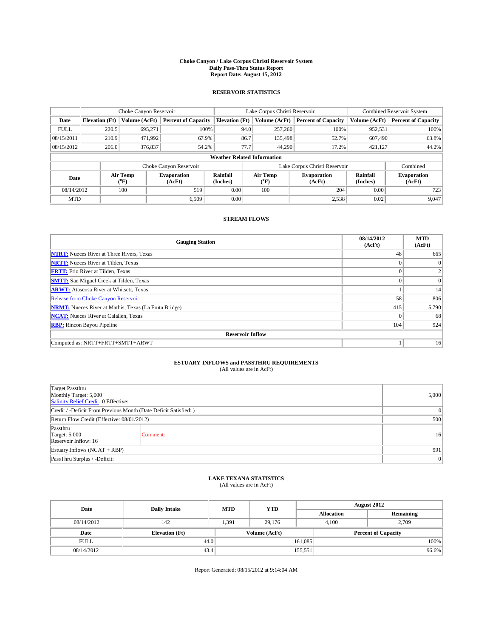## **Choke Canyon / Lake Corpus Christi Reservoir System Daily Pass-Thru Status Report Report Date: August 15, 2012**

### **RESERVOIR STATISTICS**

|             | Choke Canyon Reservoir |                          |                              |                                    | Lake Corpus Christi Reservoir                           |               |                               |                              | Combined Reservoir System  |  |  |
|-------------|------------------------|--------------------------|------------------------------|------------------------------------|---------------------------------------------------------|---------------|-------------------------------|------------------------------|----------------------------|--|--|
| Date        | <b>Elevation</b> (Ft)  | Volume (AcFt)            | <b>Percent of Capacity</b>   | <b>Elevation</b> (Ft)              |                                                         | Volume (AcFt) | <b>Percent of Capacity</b>    | Volume (AcFt)                | <b>Percent of Capacity</b> |  |  |
| <b>FULL</b> | 220.5                  | 695,271                  | 100%                         |                                    | 94.0                                                    | 257,260       | 100%                          | 952,531                      | 100%                       |  |  |
| 08/15/2011  | 210.9                  | 471,992                  | 67.9%                        |                                    | 86.7                                                    | 135,498       | 52.7%                         | 607,490                      | 63.8%                      |  |  |
| 08/15/2012  | 206.0                  | 376,837                  | 54.2%                        |                                    | 77.7                                                    | 44.290        | 17.2%                         | 421.127                      | 44.2%                      |  |  |
|             |                        |                          |                              | <b>Weather Related Information</b> |                                                         |               |                               |                              |                            |  |  |
|             |                        |                          | Choke Canyon Reservoir       |                                    |                                                         |               | Lake Corpus Christi Reservoir |                              | Combined                   |  |  |
| Date        |                        | Air Temp<br>$\rm ^{o}F)$ | <b>Evaporation</b><br>(AcFt) | <b>Rainfall</b><br>(Inches)        | <b>Air Temp</b><br><b>Evaporation</b><br>("F)<br>(AcFt) |               | <b>Rainfall</b><br>(Inches)   | <b>Evaporation</b><br>(AcFt) |                            |  |  |
| 08/14/2012  |                        | 100                      | 519                          | 0.00                               |                                                         | 100           | 204                           | 0.00                         | 723                        |  |  |
| <b>MTD</b>  |                        |                          | 6.509                        | 0.00                               |                                                         |               | 2,538                         | 0.02                         | 9,047                      |  |  |

#### **STREAM FLOWS**

| <b>Gauging Station</b>                                       | 08/14/2012<br>(AcFt) | <b>MTD</b><br>(AcFt) |
|--------------------------------------------------------------|----------------------|----------------------|
| <b>NTRT:</b> Nueces River at Three Rivers, Texas             | 48                   | 665                  |
| <b>NRTT:</b> Nueces River at Tilden, Texas                   |                      | $\Omega$             |
| <b>FRTT:</b> Frio River at Tilden, Texas                     |                      |                      |
| <b>SMTT:</b> San Miguel Creek at Tilden, Texas               | $\theta$             | $\Omega$             |
| <b>ARWT:</b> Atascosa River at Whitsett, Texas               |                      | 14                   |
| Release from Choke Canyon Reservoir                          | 58                   | 806                  |
| <b>NRMT:</b> Nueces River at Mathis, Texas (La Fruta Bridge) | 415                  | 5,790                |
| <b>NCAT:</b> Nueces River at Calallen, Texas                 | $\Omega$             | 68                   |
| <b>RBP:</b> Rincon Bayou Pipeline                            | 104                  | 924                  |
| <b>Reservoir Inflow</b>                                      |                      |                      |
| Computed as: NRTT+FRTT+SMTT+ARWT                             |                      | 16                   |

## **ESTUARY INFLOWS and PASSTHRU REQUIREMENTS**

|  | (All values are in AcFt) |  |
|--|--------------------------|--|
|--|--------------------------|--|

| Target Passthru<br>Monthly Target: 5,000<br>Salinity Relief Credit: 0 Effective: |          |   |  |  |
|----------------------------------------------------------------------------------|----------|---|--|--|
| Credit / -Deficit From Previous Month (Date Deficit Satisfied: )                 |          |   |  |  |
| Return Flow Credit (Effective: 08/01/2012)                                       | 500      |   |  |  |
| Passthru<br><b>Target: 5,000</b><br>Reservoir Inflow: 16                         | Comment: |   |  |  |
| Estuary Inflows (NCAT + RBP)                                                     | 991      |   |  |  |
| PassThru Surplus / -Deficit:                                                     |          | 0 |  |  |

## **LAKE TEXANA STATISTICS** (All values are in AcFt)

| Date<br><b>Daily Intake</b> |                       | <b>MTD</b> | <b>YTD</b>    | <b>August 2012</b> |                            |           |       |
|-----------------------------|-----------------------|------------|---------------|--------------------|----------------------------|-----------|-------|
|                             |                       |            |               |                    | <b>Allocation</b>          | Remaining |       |
| 08/14/2012                  | 142                   | 1.391      | 29.176        |                    | 4.100                      | 2.709     |       |
| Date                        | <b>Elevation</b> (Ft) |            | Volume (AcFt) |                    | <b>Percent of Capacity</b> |           |       |
| <b>FULL</b>                 | 44.0                  |            |               | 161,085            |                            |           | 100%  |
| 08/14/2012                  | 43.4                  |            |               | 155,551            |                            |           | 96.6% |

Report Generated: 08/15/2012 at 9:14:04 AM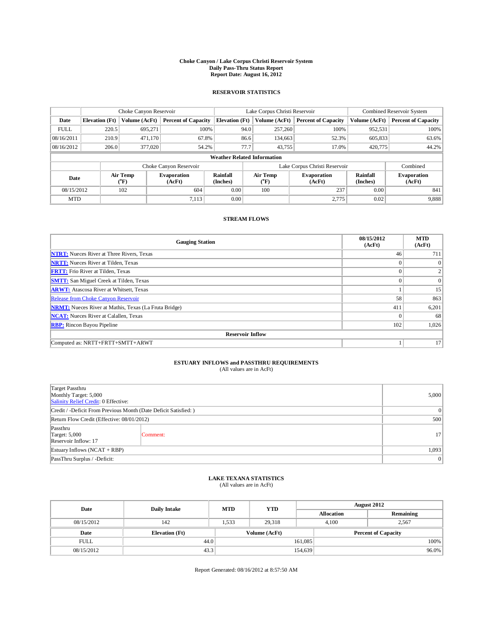## **Choke Canyon / Lake Corpus Christi Reservoir System Daily Pass-Thru Status Report Report Date: August 16, 2012**

### **RESERVOIR STATISTICS**

|             | Choke Canyon Reservoir |                          |                              |                                    | Lake Corpus Christi Reservoir                           |               |                               |                              | Combined Reservoir System  |  |  |
|-------------|------------------------|--------------------------|------------------------------|------------------------------------|---------------------------------------------------------|---------------|-------------------------------|------------------------------|----------------------------|--|--|
| Date        | <b>Elevation</b> (Ft)  | Volume (AcFt)            | <b>Percent of Capacity</b>   | <b>Elevation</b> (Ft)              |                                                         | Volume (AcFt) | <b>Percent of Capacity</b>    | Volume (AcFt)                | <b>Percent of Capacity</b> |  |  |
| <b>FULL</b> | 220.5                  | 695,271                  | 100%                         |                                    | 94.0                                                    | 257,260       | 100%                          | 952,531                      | 100%                       |  |  |
| 08/16/2011  | 210.9                  | 471.170                  | 67.8%                        |                                    | 86.6                                                    | 134,663       | 52.3%                         | 605,833                      | 63.6%                      |  |  |
| 08/16/2012  | 206.0                  | 377,020                  | 54.2%                        |                                    | 77.7                                                    | 43.755        | 17.0%                         | 420,775                      | 44.2%                      |  |  |
|             |                        |                          |                              | <b>Weather Related Information</b> |                                                         |               |                               |                              |                            |  |  |
|             |                        |                          | Choke Canyon Reservoir       |                                    |                                                         |               | Lake Corpus Christi Reservoir |                              | Combined                   |  |  |
| Date        |                        | Air Temp<br>$\rm ^{o}F)$ | <b>Evaporation</b><br>(AcFt) | <b>Rainfall</b><br>(Inches)        | <b>Air Temp</b><br><b>Evaporation</b><br>("F)<br>(AcFt) |               | <b>Rainfall</b><br>(Inches)   | <b>Evaporation</b><br>(AcFt) |                            |  |  |
| 08/15/2012  |                        | 102                      | 604                          | 0.00                               |                                                         | 100           | 237                           | 0.00                         | 841                        |  |  |
| <b>MTD</b>  |                        |                          | 7,113                        | 0.00                               |                                                         |               | 2,775                         | 0.02                         | 9,888                      |  |  |

### **STREAM FLOWS**

| <b>Gauging Station</b>                                       | 08/15/2012<br>(AcFt) | <b>MTD</b><br>(AcFt) |  |  |  |  |
|--------------------------------------------------------------|----------------------|----------------------|--|--|--|--|
| <b>NTRT:</b> Nueces River at Three Rivers, Texas             | 46                   | 711                  |  |  |  |  |
| <b>NRTT:</b> Nueces River at Tilden, Texas                   | $\theta$             | $\Omega$             |  |  |  |  |
| <b>FRTT:</b> Frio River at Tilden, Texas                     | $\theta$             |                      |  |  |  |  |
| <b>SMTT:</b> San Miguel Creek at Tilden, Texas               | $\theta$             | $\Omega$             |  |  |  |  |
| <b>ARWT:</b> Atascosa River at Whitsett, Texas               |                      | 15                   |  |  |  |  |
| Release from Choke Canyon Reservoir                          | 58                   | 863                  |  |  |  |  |
| <b>NRMT:</b> Nueces River at Mathis, Texas (La Fruta Bridge) | 411                  | 6,201                |  |  |  |  |
| <b>NCAT:</b> Nueces River at Calallen, Texas                 | $\Omega$             | 68                   |  |  |  |  |
| <b>RBP:</b> Rincon Bayou Pipeline                            | 102                  | 1,026                |  |  |  |  |
| <b>Reservoir Inflow</b>                                      |                      |                      |  |  |  |  |
| Computed as: NRTT+FRTT+SMTT+ARWT                             |                      | 17                   |  |  |  |  |

# **ESTUARY INFLOWS and PASSTHRU REQUIREMENTS**<br>(All values are in AcFt)

| Target Passthru<br>Monthly Target: 5,000<br>Salinity Relief Credit: 0 Effective: | 5,000          |                 |
|----------------------------------------------------------------------------------|----------------|-----------------|
| Credit / -Deficit From Previous Month (Date Deficit Satisfied: )                 | $\overline{0}$ |                 |
| Return Flow Credit (Effective: 08/01/2012)                                       | 500            |                 |
| Passthru<br><b>Target: 5,000</b><br>Reservoir Inflow: 17                         | Comment:       | 17 <sup>1</sup> |
| Estuary Inflows (NCAT + RBP)                                                     | 1,093          |                 |
| PassThru Surplus / -Deficit:                                                     | $\overline{0}$ |                 |

## **LAKE TEXANA STATISTICS** (All values are in AcFt)

|             | <b>Daily Intake</b><br>Date | <b>MTD</b> | <b>YTD</b>    | <b>August 2012</b> |                            |           |  |
|-------------|-----------------------------|------------|---------------|--------------------|----------------------------|-----------|--|
|             |                             |            |               |                    | <b>Allocation</b>          | Remaining |  |
| 08/15/2012  | 142                         | 1,533      | 29.318        |                    | 4.100                      | 2.567     |  |
| Date        | <b>Elevation</b> (Ft)       |            | Volume (AcFt) |                    | <b>Percent of Capacity</b> |           |  |
| <b>FULL</b> | 44.0                        |            |               | 161,085            |                            | $100\%$   |  |
| 08/15/2012  | 43.3                        |            |               | 154,639            |                            | $96.0\%$  |  |

Report Generated: 08/16/2012 at 8:57:50 AM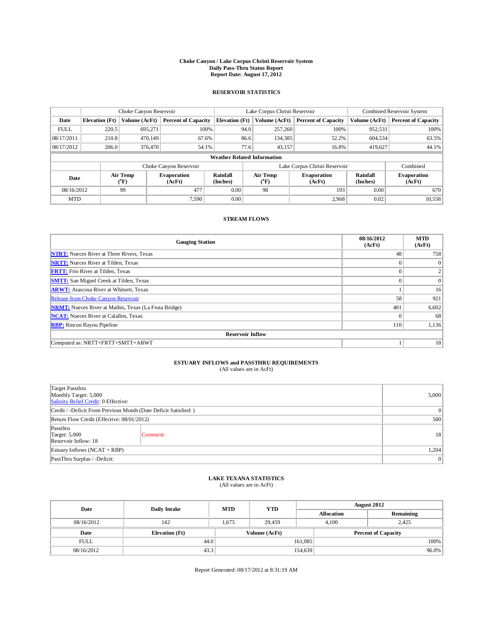## **Choke Canyon / Lake Corpus Christi Reservoir System Daily Pass-Thru Status Report Report Date: August 17, 2012**

### **RESERVOIR STATISTICS**

|             | Choke Canyon Reservoir |                          |                              |                                    | Lake Corpus Christi Reservoir |                                                         |                               |                             | Combined Reservoir System    |  |  |
|-------------|------------------------|--------------------------|------------------------------|------------------------------------|-------------------------------|---------------------------------------------------------|-------------------------------|-----------------------------|------------------------------|--|--|
| Date        | <b>Elevation</b> (Ft)  | Volume (AcFt)            | <b>Percent of Capacity</b>   | <b>Elevation</b> (Ft)              |                               | Volume (AcFt)                                           | <b>Percent of Capacity</b>    | Volume (AcFt)               | <b>Percent of Capacity</b>   |  |  |
| <b>FULL</b> | 220.5                  | 695,271                  | 100%                         |                                    | 94.0                          | 257,260                                                 | 100%                          | 952,531                     | 100%                         |  |  |
| 08/17/2011  | 210.8                  | 470,149                  | 67.6%                        |                                    | 86.6                          | 134,385                                                 | 52.2%                         | 604,534                     | 63.5%                        |  |  |
| 08/17/2012  | 206.0                  | 376,470                  | 54.1%                        |                                    | 77.6                          | 43,157                                                  | 16.8%                         | 419,627                     | 44.1%                        |  |  |
|             |                        |                          |                              | <b>Weather Related Information</b> |                               |                                                         |                               |                             |                              |  |  |
|             |                        |                          | Choke Canyon Reservoir       |                                    |                               |                                                         | Lake Corpus Christi Reservoir |                             | Combined                     |  |  |
| Date        |                        | Air Temp<br>$\rm ^{o}F)$ | <b>Evaporation</b><br>(AcFt) | <b>Rainfall</b><br>(Inches)        |                               | <b>Air Temp</b><br><b>Evaporation</b><br>("F)<br>(AcFt) |                               | <b>Rainfall</b><br>(Inches) | <b>Evaporation</b><br>(AcFt) |  |  |
| 08/16/2012  |                        | 99                       | 477                          |                                    |                               | 98                                                      | 193                           | 0.00                        | 670                          |  |  |
| <b>MTD</b>  |                        |                          | 7.590                        | 0.00                               |                               |                                                         | 2,968                         | 0.02                        | 10,558                       |  |  |

### **STREAM FLOWS**

| <b>Gauging Station</b>                                       | 08/16/2012<br>(AcFt) | <b>MTD</b><br>(AcFt) |  |  |  |  |
|--------------------------------------------------------------|----------------------|----------------------|--|--|--|--|
| <b>NTRT:</b> Nueces River at Three Rivers, Texas             | 48                   | 758                  |  |  |  |  |
| <b>NRTT:</b> Nueces River at Tilden, Texas                   |                      | $\Omega$             |  |  |  |  |
| <b>FRTT:</b> Frio River at Tilden, Texas                     |                      |                      |  |  |  |  |
| <b>SMTT:</b> San Miguel Creek at Tilden, Texas               | $\theta$             | $\Omega$             |  |  |  |  |
| <b>ARWT:</b> Atascosa River at Whitsett, Texas               |                      | 16                   |  |  |  |  |
| <b>Release from Choke Canyon Reservoir</b>                   | 58                   | 921                  |  |  |  |  |
| <b>NRMT:</b> Nueces River at Mathis, Texas (La Fruta Bridge) | 401                  | 6,602                |  |  |  |  |
| <b>NCAT:</b> Nueces River at Calallen, Texas                 | $\Omega$             | 68                   |  |  |  |  |
| <b>RBP:</b> Rincon Bayou Pipeline                            | 110                  | 1,136                |  |  |  |  |
| <b>Reservoir Inflow</b>                                      |                      |                      |  |  |  |  |
| Computed as: NRTT+FRTT+SMTT+ARWT                             |                      | 18                   |  |  |  |  |

## **ESTUARY INFLOWS and PASSTHRU REQUIREMENTS**

|  | (All values are in AcFt) |  |
|--|--------------------------|--|
|--|--------------------------|--|

| Target Passthru<br>Monthly Target: 5,000<br>Salinity Relief Credit: 0 Effective: | 5,000           |    |  |  |
|----------------------------------------------------------------------------------|-----------------|----|--|--|
| Credit / -Deficit From Previous Month (Date Deficit Satisfied: )                 | $\vert 0 \vert$ |    |  |  |
| Return Flow Credit (Effective: 08/01/2012)                                       | 500             |    |  |  |
| Passthru<br><b>Target: 5,000</b><br>Reservoir Inflow: 18                         | Comment:        | 18 |  |  |
| Estuary Inflows (NCAT + RBP)                                                     | 1.204           |    |  |  |
| PassThru Surplus / -Deficit:                                                     |                 |    |  |  |

## **LAKE TEXANA STATISTICS** (All values are in AcFt)

| Date        |                       | <b>MTD</b><br><b>Daily Intake</b> | <b>YTD</b>    |         | <b>August 2012</b>         |           |       |  |
|-------------|-----------------------|-----------------------------------|---------------|---------|----------------------------|-----------|-------|--|
|             |                       |                                   |               |         | <b>Allocation</b>          | Remaining |       |  |
| 08/16/2012  | 142                   | .675                              | 29,459        |         | 4.100                      | 2.425     |       |  |
| Date        | <b>Elevation</b> (Ft) |                                   | Volume (AcFt) |         | <b>Percent of Capacity</b> |           |       |  |
| <b>FULL</b> | 44.0                  |                                   |               | 161,085 |                            |           | 100%  |  |
| 08/16/2012  | 43.3                  |                                   |               | 154,639 |                            |           | 96.0% |  |

Report Generated: 08/17/2012 at 8:31:19 AM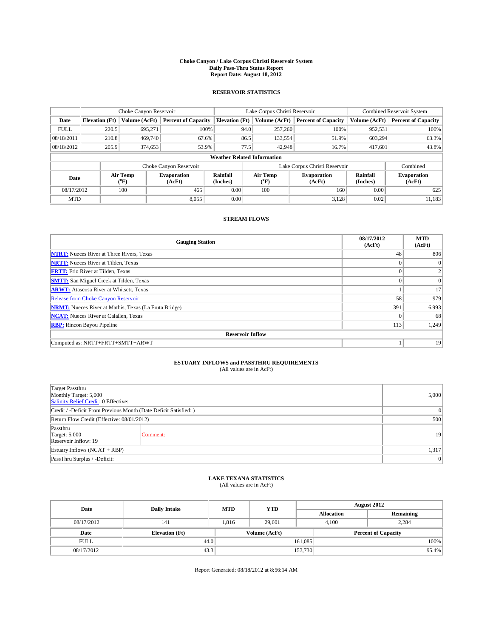## **Choke Canyon / Lake Corpus Christi Reservoir System Daily Pass-Thru Status Report Report Date: August 18, 2012**

### **RESERVOIR STATISTICS**

|             | Choke Canyon Reservoir |                          |                              |                                    | Lake Corpus Christi Reservoir |                                                  |                               |                             | Combined Reservoir System    |  |  |
|-------------|------------------------|--------------------------|------------------------------|------------------------------------|-------------------------------|--------------------------------------------------|-------------------------------|-----------------------------|------------------------------|--|--|
| Date        | <b>Elevation</b> (Ft)  | Volume (AcFt)            | <b>Percent of Capacity</b>   | <b>Elevation</b> (Ft)              |                               | Volume (AcFt)                                    | <b>Percent of Capacity</b>    | Volume (AcFt)               | <b>Percent of Capacity</b>   |  |  |
| <b>FULL</b> | 220.5                  | 695,271                  | 100%                         |                                    | 94.0                          | 257,260                                          | 100%                          | 952,531                     | 100%                         |  |  |
| 08/18/2011  | 210.8                  | 469,740                  | 67.6%                        |                                    | 86.5                          | 133,554                                          | 51.9%                         | 603.294                     | 63.3%                        |  |  |
| 08/18/2012  | 205.9                  | 374,653                  | 53.9%                        |                                    | 77.5                          | 42.948                                           | 16.7%                         | 417,601                     | 43.8%                        |  |  |
|             |                        |                          |                              | <b>Weather Related Information</b> |                               |                                                  |                               |                             |                              |  |  |
|             |                        |                          | Choke Canyon Reservoir       |                                    |                               |                                                  | Lake Corpus Christi Reservoir |                             | Combined                     |  |  |
| Date        |                        | Air Temp<br>$\rm ^{o}F)$ | <b>Evaporation</b><br>(AcFt) | <b>Rainfall</b><br>(Inches)        |                               | Air Temp<br><b>Evaporation</b><br>("F)<br>(AcFt) |                               | <b>Rainfall</b><br>(Inches) | <b>Evaporation</b><br>(AcFt) |  |  |
| 08/17/2012  |                        | 100                      | 465                          |                                    |                               | 100                                              | 160                           | 0.00                        | 625                          |  |  |
| <b>MTD</b>  |                        |                          | 8,055                        | 0.00                               |                               |                                                  | 3,128                         | 0.02                        | 11,183                       |  |  |

#### **STREAM FLOWS**

| <b>Gauging Station</b>                                       | 08/17/2012<br>(AcFt) | <b>MTD</b><br>(AcFt) |  |  |  |  |
|--------------------------------------------------------------|----------------------|----------------------|--|--|--|--|
| <b>NTRT:</b> Nueces River at Three Rivers, Texas             | 48                   | 806                  |  |  |  |  |
| <b>NRTT:</b> Nueces River at Tilden, Texas                   | $\theta$             | $\overline{0}$       |  |  |  |  |
| <b>FRTT:</b> Frio River at Tilden, Texas                     | $\theta$             | $\overline{2}$       |  |  |  |  |
| <b>SMTT:</b> San Miguel Creek at Tilden, Texas               | $\Omega$             | $\Omega$             |  |  |  |  |
| <b>ARWT:</b> Atascosa River at Whitsett, Texas               |                      | 17                   |  |  |  |  |
| <b>Release from Choke Canyon Reservoir</b>                   | 58                   | 979                  |  |  |  |  |
| <b>NRMT:</b> Nueces River at Mathis, Texas (La Fruta Bridge) | 391                  | 6,993                |  |  |  |  |
| <b>NCAT:</b> Nueces River at Calallen, Texas                 | $\Omega$             | 68                   |  |  |  |  |
| <b>RBP:</b> Rincon Bayou Pipeline                            | 113                  | 1,249                |  |  |  |  |
| <b>Reservoir Inflow</b>                                      |                      |                      |  |  |  |  |
| Computed as: NRTT+FRTT+SMTT+ARWT                             |                      | 19                   |  |  |  |  |

# **ESTUARY INFLOWS and PASSTHRU REQUIREMENTS**<br>(All values are in AcFt)

| Target Passthru<br>Monthly Target: 5,000<br>Salinity Relief Credit: 0 Effective: | 5,000          |    |
|----------------------------------------------------------------------------------|----------------|----|
| Credit / -Deficit From Previous Month (Date Deficit Satisfied: )                 | $\overline{0}$ |    |
| Return Flow Credit (Effective: 08/01/2012)                                       | 500            |    |
| Passthru<br><b>Target: 5,000</b><br>Reservoir Inflow: 19                         | Comment:       | 19 |
| Estuary Inflows (NCAT + RBP)                                                     | 1,317          |    |
| PassThru Surplus / -Deficit:                                                     | $\overline{0}$ |    |

## **LAKE TEXANA STATISTICS** (All values are in AcFt)

| Date<br><b>Daily Intake</b> | <b>MTD</b>            | <b>YTD</b> | <b>August 2012</b> |                   |                            |         |
|-----------------------------|-----------------------|------------|--------------------|-------------------|----------------------------|---------|
|                             |                       |            |                    | <b>Allocation</b> | Remaining                  |         |
| 08/17/2012                  | 141                   | 1.816      | 29.601             |                   | 4,100                      | 2,284   |
| Date                        | <b>Elevation</b> (Ft) |            | Volume (AcFt)      |                   | <b>Percent of Capacity</b> |         |
| <b>FULL</b>                 | 44.0                  |            |                    | 161,085           |                            | $100\%$ |
| 08/17/2012                  | 43.3                  |            |                    | 153,730           |                            | 95.4%   |

Report Generated: 08/18/2012 at 8:56:14 AM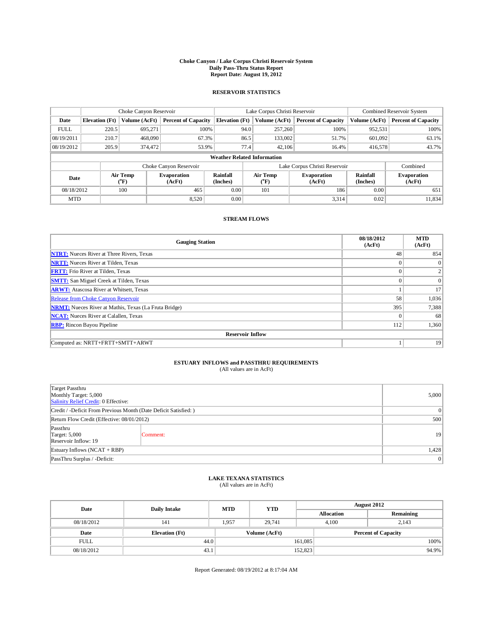## **Choke Canyon / Lake Corpus Christi Reservoir System Daily Pass-Thru Status Report Report Date: August 19, 2012**

### **RESERVOIR STATISTICS**

|             | Choke Canyon Reservoir             |                          |                              | Lake Corpus Christi Reservoir | Combined Reservoir System |                               |                              |                             |                              |  |
|-------------|------------------------------------|--------------------------|------------------------------|-------------------------------|---------------------------|-------------------------------|------------------------------|-----------------------------|------------------------------|--|
| Date        | <b>Elevation</b> (Ft)              | Volume (AcFt)            | <b>Percent of Capacity</b>   | <b>Elevation</b> (Ft)         |                           | Volume (AcFt)                 | <b>Percent of Capacity</b>   | Volume (AcFt)               | <b>Percent of Capacity</b>   |  |
| <b>FULL</b> | 220.5                              | 695,271                  | 100%                         |                               | 94.0                      | 257,260                       | 100%                         | 952,531                     | 100%                         |  |
| 08/19/2011  | 210.7                              | 468,090                  | 67.3%                        |                               | 86.5                      | 133,002                       | 51.7%                        | 601,092                     | 63.1%                        |  |
| 08/19/2012  | 205.9                              | 374,472                  | 53.9%                        |                               | 77.4                      | 42.106                        | 16.4%                        | 416,578                     | 43.7%                        |  |
|             | <b>Weather Related Information</b> |                          |                              |                               |                           |                               |                              |                             |                              |  |
|             |                                    |                          | Choke Canyon Reservoir       |                               |                           | Lake Corpus Christi Reservoir | Combined                     |                             |                              |  |
| Date        |                                    | Air Temp<br>$\rm ^{o}F)$ | <b>Evaporation</b><br>(AcFt) | <b>Rainfall</b><br>(Inches)   |                           | <b>Air Temp</b><br>("F)       | <b>Evaporation</b><br>(AcFt) | <b>Rainfall</b><br>(Inches) | <b>Evaporation</b><br>(AcFt) |  |
|             | 100<br>08/18/2012                  |                          | 465                          | 0.00                          |                           | 101                           | 186                          | 0.00                        | 651                          |  |
| <b>MTD</b>  |                                    |                          | 8,520                        | $0.00\,$                      |                           |                               | 3,314                        | 0.02                        | 11,834                       |  |

#### **STREAM FLOWS**

| <b>Gauging Station</b>                                       | 08/18/2012<br>(AcFt) | <b>MTD</b><br>(AcFt) |
|--------------------------------------------------------------|----------------------|----------------------|
| <b>NTRT:</b> Nueces River at Three Rivers, Texas             | 48                   | 854                  |
| <b>NRTT:</b> Nueces River at Tilden, Texas                   |                      | $\Omega$             |
| <b>FRTT:</b> Frio River at Tilden, Texas                     | $\theta$             |                      |
| <b>SMTT:</b> San Miguel Creek at Tilden, Texas               | $\theta$             | $\Omega$             |
| <b>ARWT:</b> Atascosa River at Whitsett, Texas               |                      | 17                   |
| <b>Release from Choke Canyon Reservoir</b>                   | 58                   | 1,036                |
| <b>NRMT:</b> Nueces River at Mathis, Texas (La Fruta Bridge) | 395                  | 7,388                |
| <b>NCAT:</b> Nueces River at Calallen, Texas                 | $\theta$             | 68                   |
| <b>RBP:</b> Rincon Bayou Pipeline                            | 112                  | 1,360                |
| <b>Reservoir Inflow</b>                                      |                      |                      |
| Computed as: NRTT+FRTT+SMTT+ARWT                             |                      | 19                   |

## **ESTUARY INFLOWS and PASSTHRU REQUIREMENTS**

|  |  | (All values are in AcFt) |  |
|--|--|--------------------------|--|
|--|--|--------------------------|--|

| Target Passthru<br>Monthly Target: 5,000<br>Salinity Relief Credit: 0 Effective: |          |    |  |  |  |  |
|----------------------------------------------------------------------------------|----------|----|--|--|--|--|
| Credit / -Deficit From Previous Month (Date Deficit Satisfied: )                 |          |    |  |  |  |  |
| Return Flow Credit (Effective: 08/01/2012)                                       |          |    |  |  |  |  |
| Passthru<br><b>Target: 5,000</b><br>Reservoir Inflow: 19                         | Comment: | 19 |  |  |  |  |
| Estuary Inflows (NCAT + RBP)                                                     | 1,428    |    |  |  |  |  |
| PassThru Surplus / -Deficit:                                                     |          | 0  |  |  |  |  |

## **LAKE TEXANA STATISTICS** (All values are in AcFt)

| Date        | <b>Daily Intake</b>   | <b>MTD</b> | <b>YTD</b>                                  | <b>August 2012</b> |                   |           |       |
|-------------|-----------------------|------------|---------------------------------------------|--------------------|-------------------|-----------|-------|
|             |                       |            |                                             |                    | <b>Allocation</b> | Remaining |       |
| 08/18/2012  | 141                   | 1,957      | 29.741                                      |                    | 4.100<br>2.143    |           |       |
| Date        | <b>Elevation</b> (Ft) |            | Volume (AcFt)<br><b>Percent of Capacity</b> |                    |                   |           |       |
| <b>FULL</b> | 44.0                  |            |                                             | 161,085            |                   |           | 100%  |
| 08/18/2012  | 43.1                  |            |                                             | 152,823            |                   |           | 94.9% |

Report Generated: 08/19/2012 at 8:17:04 AM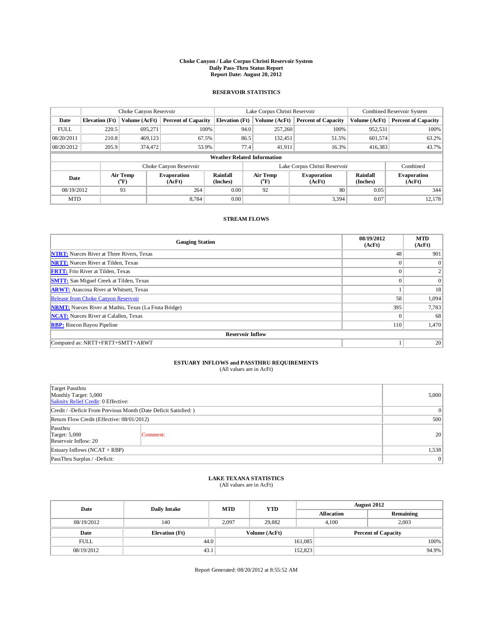## **Choke Canyon / Lake Corpus Christi Reservoir System Daily Pass-Thru Status Report Report Date: August 20, 2012**

### **RESERVOIR STATISTICS**

|             | Choke Canyon Reservoir |                           | Lake Corpus Christi Reservoir |                                    |                               |                                           | Combined Reservoir System    |                             |                              |
|-------------|------------------------|---------------------------|-------------------------------|------------------------------------|-------------------------------|-------------------------------------------|------------------------------|-----------------------------|------------------------------|
| Date        | <b>Elevation</b> (Ft)  | Volume (AcFt)             | <b>Percent of Capacity</b>    | <b>Elevation</b> (Ft)              |                               | Volume (AcFt)                             | <b>Percent of Capacity</b>   | Volume (AcFt)               | <b>Percent of Capacity</b>   |
| <b>FULL</b> | 220.5                  | 695,271                   | 100%                          |                                    | 94.0                          | 257,260                                   | 100%                         | 952,531                     | 100%                         |
| 08/20/2011  | 210.8                  | 469,123                   | 67.5%                         |                                    | 86.5                          | 132,451                                   | 51.5%                        | 601,574                     | 63.2%                        |
| 08/20/2012  | 205.9                  | 374,472                   | 53.9%                         |                                    | 77.4                          | 41,911                                    | 16.3%                        | 416,383                     | 43.7%                        |
|             |                        |                           |                               | <b>Weather Related Information</b> |                               |                                           |                              |                             |                              |
|             |                        |                           | Choke Canyon Reservoir        |                                    | Lake Corpus Christi Reservoir |                                           |                              |                             | Combined                     |
| Date        |                        | Air Temp<br>$\rm ^{(o}F)$ | <b>Evaporation</b><br>(AcFt)  | <b>Rainfall</b><br>(Inches)        |                               | Air Temp<br>$({}^{\mathrm{o}}\mathrm{F})$ | <b>Evaporation</b><br>(AcFt) | <b>Rainfall</b><br>(Inches) | <b>Evaporation</b><br>(AcFt) |
| 08/19/2012  | 93                     |                           | 264                           | 0.00                               | 92                            |                                           | 80                           | 0.05                        | 344                          |
| <b>MTD</b>  |                        |                           | 8.784                         | 0.00                               |                               |                                           | 3,394                        | 0.07                        | 12,178                       |

### **STREAM FLOWS**

| <b>Gauging Station</b>                                       | 08/19/2012<br>(AcFt) | <b>MTD</b><br>(AcFt) |
|--------------------------------------------------------------|----------------------|----------------------|
| <b>NTRT:</b> Nueces River at Three Rivers, Texas             | 48                   | 901                  |
| <b>NRTT:</b> Nueces River at Tilden, Texas                   | $\theta$             | $\overline{0}$       |
| <b>FRTT:</b> Frio River at Tilden, Texas                     | $\Omega$             | $\overline{2}$       |
| <b>SMTT:</b> San Miguel Creek at Tilden, Texas               | $\theta$             | $\overline{0}$       |
| <b>ARWT:</b> Atascosa River at Whitsett, Texas               |                      | 18                   |
| <b>Release from Choke Canyon Reservoir</b>                   | 58                   | 1,094                |
| <b>NRMT:</b> Nueces River at Mathis, Texas (La Fruta Bridge) | 395                  | 7,783                |
| <b>NCAT:</b> Nueces River at Calallen, Texas                 | $\Omega$             | 68                   |
| <b>RBP:</b> Rincon Bayou Pipeline                            | 110                  | 1,470                |
| <b>Reservoir Inflow</b>                                      |                      |                      |
| Computed as: NRTT+FRTT+SMTT+ARWT                             |                      | 20                   |

## **ESTUARY INFLOWS and PASSTHRU REQUIREMENTS**

|  | (All values are in AcFt) |  |  |  |
|--|--------------------------|--|--|--|
|--|--------------------------|--|--|--|

| Target Passthru<br>Monthly Target: 5,000<br>Salinity Relief Credit: 0 Effective: |          |    |  |  |  |  |
|----------------------------------------------------------------------------------|----------|----|--|--|--|--|
| Credit / -Deficit From Previous Month (Date Deficit Satisfied: )                 |          |    |  |  |  |  |
| Return Flow Credit (Effective: 08/01/2012)                                       |          |    |  |  |  |  |
| Passthru<br><b>Target: 5,000</b><br>Reservoir Inflow: 20                         | Comment: | 20 |  |  |  |  |
| Estuary Inflows $(NCAT + RBP)$                                                   | 1,538    |    |  |  |  |  |
| PassThru Surplus / -Deficit:                                                     |          | 0  |  |  |  |  |

## **LAKE TEXANA STATISTICS** (All values are in AcFt)

| Date        | <b>Daily Intake</b>   | <b>MTD</b> | <b>YTD</b>                                  | <b>August 2012</b> |                |           |       |
|-------------|-----------------------|------------|---------------------------------------------|--------------------|----------------|-----------|-------|
|             |                       |            |                                             | <b>Allocation</b>  |                | Remaining |       |
| 08/19/2012  | 140                   | 2.097      | 29.882                                      |                    | 2.003<br>4.100 |           |       |
| Date        | <b>Elevation</b> (Ft) |            | Volume (AcFt)<br><b>Percent of Capacity</b> |                    |                |           |       |
| <b>FULL</b> | 44.0                  |            |                                             | 161,085            |                |           | 100%  |
| 08/19/2012  | 43.1                  |            |                                             | 152,823            |                |           | 94.9% |

Report Generated: 08/20/2012 at 8:55:52 AM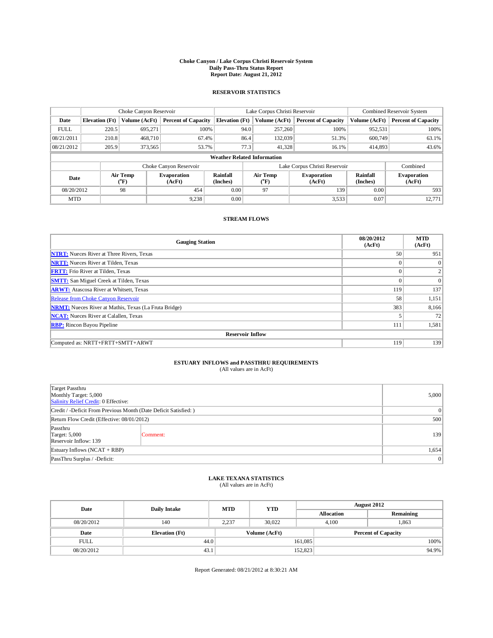## **Choke Canyon / Lake Corpus Christi Reservoir System Daily Pass-Thru Status Report Report Date: August 21, 2012**

### **RESERVOIR STATISTICS**

|             | Choke Canyon Reservoir |                                         |                            | Lake Corpus Christi Reservoir      | Combined Reservoir System     |                            |                              |                      |                              |
|-------------|------------------------|-----------------------------------------|----------------------------|------------------------------------|-------------------------------|----------------------------|------------------------------|----------------------|------------------------------|
| Date        | <b>Elevation</b> (Ft)  | Volume (AcFt)                           | <b>Percent of Capacity</b> | <b>Elevation</b> (Ft)              |                               | Volume (AcFt)              | <b>Percent of Capacity</b>   | Volume (AcFt)        | <b>Percent of Capacity</b>   |
| <b>FULL</b> | 220.5                  | 695,271                                 | 100%                       |                                    | 94.0                          | 257,260                    | 100%                         | 952,531              | 100%                         |
| 08/21/2011  | 210.8                  | 468,710                                 | 67.4%                      |                                    | 86.4                          | 132,039                    | 51.3%                        | 600,749              | 63.1%                        |
| 08/21/2012  | 205.9                  | 373.565                                 | 53.7%                      |                                    | 77.3                          | 41,328                     | 16.1%                        | 414,893              | 43.6%                        |
|             |                        |                                         |                            | <b>Weather Related Information</b> |                               |                            |                              |                      |                              |
|             |                        |                                         | Choke Canyon Reservoir     |                                    | Lake Corpus Christi Reservoir |                            |                              |                      | Combined                     |
| Date        |                        | Air Temp<br>Evaporation<br>$\rm ^{o}F)$ |                            | Rainfall<br>(Inches)               |                               | Air Temp<br>$\mathrm{^oF}$ | <b>Evaporation</b><br>(AcFt) | Rainfall<br>(Inches) | <b>Evaporation</b><br>(AcFt) |
| 08/20/2012  |                        | 98                                      | 454                        | 0.00                               |                               | 97                         | 139                          | 0.00                 | 593                          |
| <b>MTD</b>  |                        |                                         | 9,238                      | 0.00                               |                               |                            | 3,533                        | 0.07                 | 12,771                       |

### **STREAM FLOWS**

| <b>Gauging Station</b>                                       | 08/20/2012<br>(AcFt) | <b>MTD</b><br>(AcFt) |
|--------------------------------------------------------------|----------------------|----------------------|
| <b>NTRT:</b> Nueces River at Three Rivers, Texas             | 50                   | 951                  |
| <b>NRTT:</b> Nueces River at Tilden, Texas                   | $\Omega$             | $\Omega$             |
| <b>FRTT:</b> Frio River at Tilden, Texas                     | $\Omega$             |                      |
| <b>SMTT:</b> San Miguel Creek at Tilden, Texas               | $\mathbf{0}$         | $\Omega$             |
| <b>ARWT:</b> Atascosa River at Whitsett, Texas               | 119                  | 137                  |
| <b>Release from Choke Canyon Reservoir</b>                   | 58                   | 1,151                |
| <b>NRMT:</b> Nueces River at Mathis, Texas (La Fruta Bridge) | 383                  | 8,166                |
| <b>NCAT:</b> Nueces River at Calallen, Texas                 |                      | 72                   |
| <b>RBP:</b> Rincon Bayou Pipeline                            | 111                  | 1,581                |
| <b>Reservoir Inflow</b>                                      |                      |                      |
| Computed as: NRTT+FRTT+SMTT+ARWT                             | 119                  | 139                  |

# **ESTUARY INFLOWS and PASSTHRU REQUIREMENTS**<br>(All values are in AcFt)

| Target Passthru<br>Monthly Target: 5,000<br>Salinity Relief Credit: 0 Effective: | 5,000    |     |  |  |
|----------------------------------------------------------------------------------|----------|-----|--|--|
| Credit / -Deficit From Previous Month (Date Deficit Satisfied: )                 |          |     |  |  |
| Return Flow Credit (Effective: 08/01/2012)                                       | 500      |     |  |  |
| Passthru<br><b>Target: 5,000</b><br>Reservoir Inflow: 139                        | Comment: | 139 |  |  |
| Estuary Inflows (NCAT + RBP)                                                     | 1,654    |     |  |  |
| PassThru Surplus / -Deficit:                                                     | 0        |     |  |  |

## **LAKE TEXANA STATISTICS** (All values are in AcFt)

| Date        | <b>Daily Intake</b>   | <b>MTD</b> | <b>YTD</b>    | <b>August 2012</b> |                   |                            |       |
|-------------|-----------------------|------------|---------------|--------------------|-------------------|----------------------------|-------|
|             |                       |            |               |                    | <b>Allocation</b> | Remaining                  |       |
| 08/20/2012  | 140                   | 2.237      | 30.022        |                    | 4.100             | 1,863                      |       |
| Date        | <b>Elevation</b> (Ft) |            | Volume (AcFt) |                    |                   | <b>Percent of Capacity</b> |       |
| <b>FULL</b> | 44.0                  |            |               | 161,085            |                   |                            | 100%  |
| 08/20/2012  | 43.1                  |            |               | 152,823            |                   |                            | 94.9% |

Report Generated: 08/21/2012 at 8:30:21 AM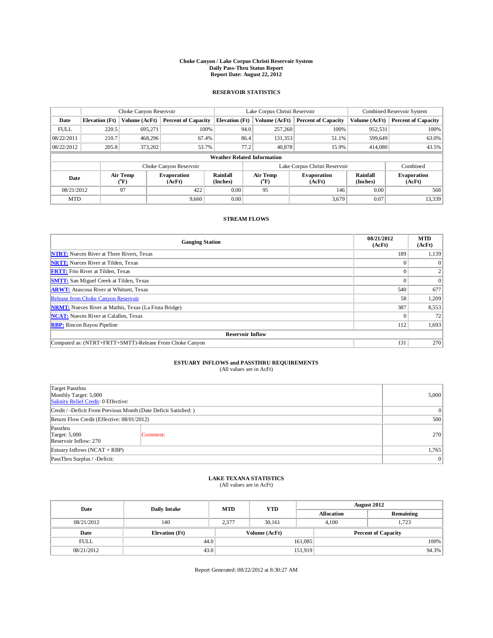## **Choke Canyon / Lake Corpus Christi Reservoir System Daily Pass-Thru Status Report Report Date: August 22, 2012**

### **RESERVOIR STATISTICS**

|             | Choke Canyon Reservoir             |                          |                              |                             | Lake Corpus Christi Reservoir |                  |                              |                             | Combined Reservoir System    |  |  |
|-------------|------------------------------------|--------------------------|------------------------------|-----------------------------|-------------------------------|------------------|------------------------------|-----------------------------|------------------------------|--|--|
| Date        | <b>Elevation</b> (Ft)              | Volume (AcFt)            | <b>Percent of Capacity</b>   | <b>Elevation</b> (Ft)       | Volume (AcFt)                 |                  | <b>Percent of Capacity</b>   | Volume (AcFt)               | <b>Percent of Capacity</b>   |  |  |
| <b>FULL</b> | 220.5                              | 695,271                  | 100%                         |                             | 94.0                          | 257,260          | 100%                         | 952,531                     | 100%                         |  |  |
| 08/22/2011  | 210.7                              | 468.296                  | 67.4%                        |                             | 86.4                          | 131,353          | 51.1%                        | 599,649                     | 63.0%                        |  |  |
| 08/22/2012  | 205.8                              | 373.202                  | 53.7%                        |                             | 77.2                          | 40.878           | 15.9%                        | 414,080                     | 43.5%                        |  |  |
|             | <b>Weather Related Information</b> |                          |                              |                             |                               |                  |                              |                             |                              |  |  |
|             |                                    |                          | Choke Canyon Reservoir       |                             | Lake Corpus Christi Reservoir |                  |                              |                             | Combined                     |  |  |
| Date        |                                    | Air Temp<br>$\rm ^{o}F)$ | <b>Evaporation</b><br>(AcFt) | <b>Rainfall</b><br>(Inches) |                               | Air Temp<br>("F) | <b>Evaporation</b><br>(AcFt) | <b>Rainfall</b><br>(Inches) | <b>Evaporation</b><br>(AcFt) |  |  |
| 08/21/2012  | 97                                 |                          | 422                          | 0.00                        | 95                            |                  | 146                          | 0.00                        | 568                          |  |  |
| <b>MTD</b>  |                                    |                          | 9.660                        | 0.00                        |                               |                  | 3,679                        | 0.07                        | 13,339                       |  |  |

#### **STREAM FLOWS**

| <b>Gauging Station</b>                                       | 08/21/2012<br>(AcFt) | <b>MTD</b><br>(AcFt) |  |  |  |  |  |  |  |
|--------------------------------------------------------------|----------------------|----------------------|--|--|--|--|--|--|--|
| <b>NTRT:</b> Nueces River at Three Rivers, Texas             | 189                  | 1,139                |  |  |  |  |  |  |  |
| <b>NRTT:</b> Nueces River at Tilden, Texas                   |                      | $\theta$             |  |  |  |  |  |  |  |
| <b>FRTT:</b> Frio River at Tilden, Texas                     |                      |                      |  |  |  |  |  |  |  |
| <b>SMTT:</b> San Miguel Creek at Tilden, Texas               |                      | $\Omega$             |  |  |  |  |  |  |  |
| <b>ARWT:</b> Atascosa River at Whitsett, Texas               | 540                  | 677                  |  |  |  |  |  |  |  |
| Release from Choke Canyon Reservoir                          | 58                   | 1,209                |  |  |  |  |  |  |  |
| <b>NRMT:</b> Nueces River at Mathis, Texas (La Fruta Bridge) | 387                  | 8,553                |  |  |  |  |  |  |  |
| <b>NCAT:</b> Nueces River at Calallen, Texas                 |                      | 72                   |  |  |  |  |  |  |  |
| <b>RBP:</b> Rincon Bayou Pipeline                            | 112                  | 1,693                |  |  |  |  |  |  |  |
| <b>Reservoir Inflow</b>                                      |                      |                      |  |  |  |  |  |  |  |
| Computed as: (NTRT+FRTT+SMTT)-Release From Choke Canyon      | 131                  | 270                  |  |  |  |  |  |  |  |

# **ESTUARY INFLOWS and PASSTHRU REQUIREMENTS**<br>(All values are in AcFt)

| Target Passthru<br>Monthly Target: 5,000<br>Salinity Relief Credit: 0 Effective: | 5,000    |     |  |  |
|----------------------------------------------------------------------------------|----------|-----|--|--|
| Credit / -Deficit From Previous Month (Date Deficit Satisfied: )                 |          |     |  |  |
| Return Flow Credit (Effective: 08/01/2012)                                       |          |     |  |  |
| Passthru<br><b>Target: 5,000</b><br>Reservoir Inflow: 270                        | Comment: | 270 |  |  |
| Estuary Inflows $(NCAT + RBP)$                                                   | 1,765    |     |  |  |
| PassThru Surplus / -Deficit:                                                     | 0        |     |  |  |

## **LAKE TEXANA STATISTICS** (All values are in AcFt)

| Date        | <b>Daily Intake</b>   | <b>MTD</b> | <b>YTD</b>    | <b>August 2012</b> |                   |                            |       |
|-------------|-----------------------|------------|---------------|--------------------|-------------------|----------------------------|-------|
|             |                       |            |               |                    | <b>Allocation</b> | Remaining                  |       |
| 08/21/2012  | 140                   | 2,377      | 30.161        |                    | 4.100             | 1.723                      |       |
| Date        | <b>Elevation</b> (Ft) |            | Volume (AcFt) |                    |                   | <b>Percent of Capacity</b> |       |
| <b>FULL</b> | 44.0                  |            |               | 161,085            |                   |                            | 100%  |
| 08/21/2012  | 43.0                  |            |               | 151,919            |                   |                            | 94.3% |

Report Generated: 08/22/2012 at 8:30:27 AM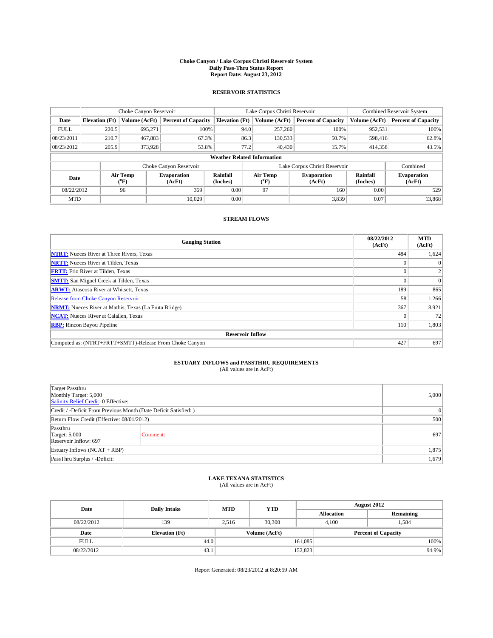## **Choke Canyon / Lake Corpus Christi Reservoir System Daily Pass-Thru Status Report Report Date: August 23, 2012**

### **RESERVOIR STATISTICS**

|             | Choke Canyon Reservoir             |                          |                              |                             | Lake Corpus Christi Reservoir |                  |                              |                             | Combined Reservoir System    |  |  |
|-------------|------------------------------------|--------------------------|------------------------------|-----------------------------|-------------------------------|------------------|------------------------------|-----------------------------|------------------------------|--|--|
| Date        | <b>Elevation</b> (Ft)              | Volume (AcFt)            | <b>Percent of Capacity</b>   | <b>Elevation</b> (Ft)       |                               | Volume (AcFt)    | <b>Percent of Capacity</b>   | Volume (AcFt)               | <b>Percent of Capacity</b>   |  |  |
| <b>FULL</b> | 220.5                              | 695,271                  | 100%                         |                             | 94.0                          | 257,260          | 100%                         | 952,531                     | 100%                         |  |  |
| 08/23/2011  | 210.7                              | 467,883                  | 67.3%                        |                             | 86.3                          | 130,533          | 50.7%                        | 598,416                     | 62.8%                        |  |  |
| 08/23/2012  | 205.9                              | 373,928                  | 53.8%                        |                             | 77.2                          | 40,430           | 15.7%                        | 414,358                     | 43.5%                        |  |  |
|             | <b>Weather Related Information</b> |                          |                              |                             |                               |                  |                              |                             |                              |  |  |
|             |                                    |                          | Choke Canyon Reservoir       |                             | Lake Corpus Christi Reservoir |                  |                              |                             | Combined                     |  |  |
| Date        |                                    | Air Temp<br>$\rm ^{o}F)$ | <b>Evaporation</b><br>(AcFt) | <b>Rainfall</b><br>(Inches) |                               | Air Temp<br>("F) | <b>Evaporation</b><br>(AcFt) | <b>Rainfall</b><br>(Inches) | <b>Evaporation</b><br>(AcFt) |  |  |
| 08/22/2012  | 96                                 |                          | 369                          | 0.00                        | 97                            |                  | 160                          | 0.00                        | 529                          |  |  |
| <b>MTD</b>  |                                    |                          | 10.029                       | 0.00                        |                               |                  | 3,839                        | 0.07                        | 13,868                       |  |  |

#### **STREAM FLOWS**

| <b>Gauging Station</b>                                       | 08/22/2012<br>(AcFt) | <b>MTD</b><br>(AcFt) |  |  |  |  |  |  |
|--------------------------------------------------------------|----------------------|----------------------|--|--|--|--|--|--|
| <b>NTRT:</b> Nueces River at Three Rivers, Texas             | 484                  | 1,624                |  |  |  |  |  |  |
| <b>NRTT:</b> Nueces River at Tilden, Texas                   |                      | $\Omega$             |  |  |  |  |  |  |
| <b>FRTT:</b> Frio River at Tilden, Texas                     |                      |                      |  |  |  |  |  |  |
| <b>SMTT:</b> San Miguel Creek at Tilden, Texas               |                      | $\Omega$             |  |  |  |  |  |  |
| <b>ARWT:</b> Atascosa River at Whitsett, Texas               | 189                  | 865                  |  |  |  |  |  |  |
| Release from Choke Canyon Reservoir                          | 58                   | 1,266                |  |  |  |  |  |  |
| <b>NRMT:</b> Nueces River at Mathis, Texas (La Fruta Bridge) | 367                  | 8,921                |  |  |  |  |  |  |
| <b>NCAT:</b> Nueces River at Calallen, Texas                 |                      | 72                   |  |  |  |  |  |  |
| <b>RBP:</b> Rincon Bayou Pipeline                            | 110                  | 1,803                |  |  |  |  |  |  |
| <b>Reservoir Inflow</b>                                      |                      |                      |  |  |  |  |  |  |
| Computed as: (NTRT+FRTT+SMTT)-Release From Choke Canyon      | 427                  | 697                  |  |  |  |  |  |  |

# **ESTUARY INFLOWS and PASSTHRU REQUIREMENTS**<br>(All values are in AcFt)

| Target Passthru<br>Monthly Target: 5,000<br>Salinity Relief Credit: 0 Effective: | 5,000    |     |  |  |
|----------------------------------------------------------------------------------|----------|-----|--|--|
| Credit / -Deficit From Previous Month (Date Deficit Satisfied: )                 |          |     |  |  |
| Return Flow Credit (Effective: 08/01/2012)                                       |          |     |  |  |
| Passthru<br><b>Target: 5,000</b><br>Reservoir Inflow: 697                        | Comment: | 697 |  |  |
| Estuary Inflows $(NCAT + RBP)$                                                   | 1,875    |     |  |  |
| PassThru Surplus / -Deficit:                                                     | 1,679    |     |  |  |

## **LAKE TEXANA STATISTICS** (All values are in AcFt)

| Date        | <b>Daily Intake</b>   | <b>MTD</b> | <b>YTD</b>    | <b>August 2012</b> |                   |                            |       |
|-------------|-----------------------|------------|---------------|--------------------|-------------------|----------------------------|-------|
|             |                       |            |               |                    | <b>Allocation</b> | Remaining                  |       |
| 08/22/2012  | 139                   | 2.516      | 30,300        |                    | 4.100             | 1.584                      |       |
| Date        | <b>Elevation</b> (Ft) |            | Volume (AcFt) |                    |                   | <b>Percent of Capacity</b> |       |
| <b>FULL</b> | 44.0                  |            |               | 161,085            |                   |                            | 100%  |
| 08/22/2012  | 43.1                  |            |               | 152,823            |                   |                            | 94.9% |

Report Generated: 08/23/2012 at 8:20:59 AM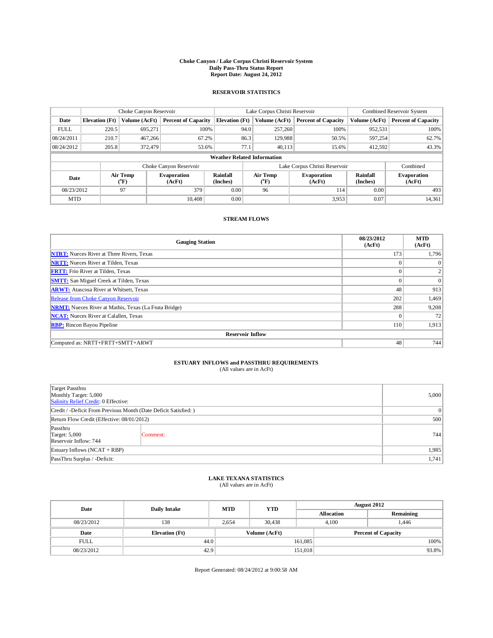## **Choke Canyon / Lake Corpus Christi Reservoir System Daily Pass-Thru Status Report Report Date: August 24, 2012**

### **RESERVOIR STATISTICS**

|             |                       | Choke Canyon Reservoir    |                              |                                    | Lake Corpus Christi Reservoir                    | Combined Reservoir System    |                      |                              |
|-------------|-----------------------|---------------------------|------------------------------|------------------------------------|--------------------------------------------------|------------------------------|----------------------|------------------------------|
| Date        | <b>Elevation</b> (Ft) | Volume (AcFt)             | <b>Percent of Capacity</b>   | <b>Elevation</b> (Ft)              | Volume (AcFt)                                    | <b>Percent of Capacity</b>   | Volume (AcFt)        | <b>Percent of Capacity</b>   |
| <b>FULL</b> | 220.5                 | 695,271                   | 100%                         | 94.0                               | 257,260                                          | 100%                         | 952,531              | 100%                         |
| 08/24/2011  | 210.7                 | 467.266                   | 67.2%                        | 86.3                               | 129,988                                          | 50.5%                        | 597,254              | 62.7%                        |
| 08/24/2012  | 205.8                 | 372,479                   | 53.6%                        | 77.1                               | 40,113                                           | 15.6%                        | 412,592              | 43.3%                        |
|             |                       |                           |                              | <b>Weather Related Information</b> |                                                  |                              |                      |                              |
|             |                       |                           | Choke Canyon Reservoir       |                                    | Lake Corpus Christi Reservoir                    |                              |                      |                              |
| Date        |                       | Air Temp<br>$\rm ^{(o}F)$ | <b>Evaporation</b><br>(AcFt) | Rainfall<br>(Inches)               | <b>Air Temp</b><br>$({}^{\mathrm{o}}\mathrm{F})$ | <b>Evaporation</b><br>(AcFt) | Rainfall<br>(Inches) | <b>Evaporation</b><br>(AcFt) |
| 08/23/2012  | 97                    |                           | 379                          | 0.00                               | 96                                               | 114                          | 0.00                 | 493                          |
| <b>MTD</b>  |                       |                           | 10.408                       | 0.00                               |                                                  | 3,953                        | 0.07                 | 14,361                       |

### **STREAM FLOWS**

| <b>Gauging Station</b>                                       | 08/23/2012<br>(AcFt) | <b>MTD</b><br>(AcFt) |  |  |  |  |  |  |  |
|--------------------------------------------------------------|----------------------|----------------------|--|--|--|--|--|--|--|
| <b>NTRT:</b> Nueces River at Three Rivers, Texas             | 173                  | 1,796                |  |  |  |  |  |  |  |
| <b>NRTT:</b> Nueces River at Tilden, Texas                   |                      | $\Omega$             |  |  |  |  |  |  |  |
| <b>FRTT:</b> Frio River at Tilden, Texas                     | $\Omega$             |                      |  |  |  |  |  |  |  |
| <b>SMTT:</b> San Miguel Creek at Tilden, Texas               | $\theta$             | $\Omega$             |  |  |  |  |  |  |  |
| <b>ARWT:</b> Atascosa River at Whitsett, Texas               | 48                   | 913                  |  |  |  |  |  |  |  |
| <b>Release from Choke Canyon Reservoir</b>                   | 202                  | 1,469                |  |  |  |  |  |  |  |
| <b>NRMT:</b> Nueces River at Mathis, Texas (La Fruta Bridge) | 288                  | 9,208                |  |  |  |  |  |  |  |
| <b>NCAT:</b> Nueces River at Calallen, Texas                 | $\Omega$             | 72                   |  |  |  |  |  |  |  |
| <b>RBP:</b> Rincon Bayou Pipeline                            | 110                  | 1,913                |  |  |  |  |  |  |  |
| <b>Reservoir Inflow</b>                                      |                      |                      |  |  |  |  |  |  |  |
| Computed as: NRTT+FRTT+SMTT+ARWT                             | 48                   | 744                  |  |  |  |  |  |  |  |

## **ESTUARY INFLOWS and PASSTHRU REQUIREMENTS**

|  | (All values are in AcFt) |
|--|--------------------------|
|--|--------------------------|

| Target Passthru<br>Monthly Target: 5,000<br>Salinity Relief Credit: 0 Effective: |                                                                  | 5,000 |  |
|----------------------------------------------------------------------------------|------------------------------------------------------------------|-------|--|
|                                                                                  | Credit / -Deficit From Previous Month (Date Deficit Satisfied: ) |       |  |
| Return Flow Credit (Effective: 08/01/2012)                                       | 500                                                              |       |  |
| Passthru<br><b>Target: 5,000</b><br>Reservoir Inflow: 744                        | Comment:                                                         | 744   |  |
| Estuary Inflows $(NCAT + RBP)$                                                   | 1,985                                                            |       |  |
| PassThru Surplus / -Deficit:                                                     |                                                                  | 1,741 |  |

## **LAKE TEXANA STATISTICS** (All values are in AcFt)

|             | <b>MTD</b><br>Date<br><b>Daily Intake</b> | <b>YTD</b> | <b>August 2012</b> |                   |                            |           |       |
|-------------|-------------------------------------------|------------|--------------------|-------------------|----------------------------|-----------|-------|
|             |                                           |            |                    | <b>Allocation</b> |                            | Remaining |       |
| 08/23/2012  | 138                                       | 2.654      | 30.438             |                   | 4.100<br>1.446             |           |       |
| Date        | <b>Elevation</b> (Ft)                     |            | Volume (AcFt)      |                   | <b>Percent of Capacity</b> |           |       |
| <b>FULL</b> | 44.0                                      |            |                    | 161,085           |                            |           | 100%  |
| 08/23/2012  | 42.9                                      |            |                    | 151,018           |                            |           | 93.8% |

Report Generated: 08/24/2012 at 9:00:58 AM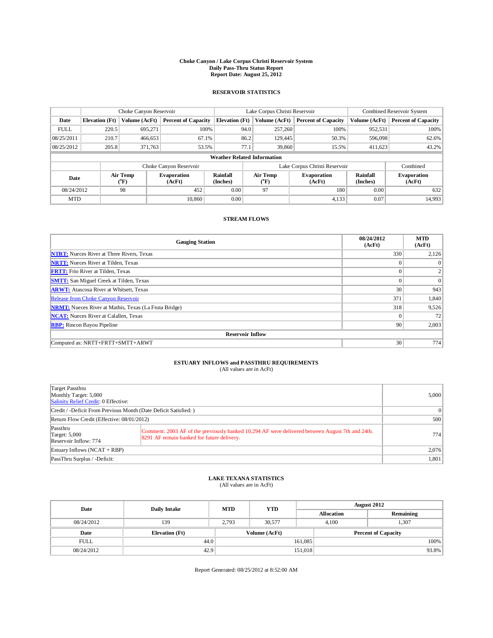## **Choke Canyon / Lake Corpus Christi Reservoir System Daily Pass-Thru Status Report Report Date: August 25, 2012**

### **RESERVOIR STATISTICS**

|             | Choke Canyon Reservoir |                          |                              |                                    | Lake Corpus Christi Reservoir |                              |                               |                             | Combined Reservoir System    |  |  |
|-------------|------------------------|--------------------------|------------------------------|------------------------------------|-------------------------------|------------------------------|-------------------------------|-----------------------------|------------------------------|--|--|
| Date        | <b>Elevation</b> (Ft)  | Volume (AcFt)            | <b>Percent of Capacity</b>   | <b>Elevation</b> (Ft)              | Volume (AcFt)                 |                              | <b>Percent of Capacity</b>    | Volume (AcFt)               | <b>Percent of Capacity</b>   |  |  |
| <b>FULL</b> | 220.5                  | 695,271                  | 100%                         |                                    | 94.0                          | 257,260                      | 100%                          | 952,531                     | 100%                         |  |  |
| 08/25/2011  | 210.7                  | 466,653                  | 67.1%                        |                                    | 86.2                          | 129,445                      | 50.3%                         | 596,098                     | 62.6%                        |  |  |
| 08/25/2012  | 205.8                  | 371,763                  | 53.5%                        |                                    | 77.1                          | 39,860                       | 15.5%                         | 411,623                     | 43.2%                        |  |  |
|             |                        |                          |                              | <b>Weather Related Information</b> |                               |                              |                               |                             |                              |  |  |
|             |                        |                          | Choke Canyon Reservoir       |                                    |                               |                              | Lake Corpus Christi Reservoir |                             | Combined                     |  |  |
| Date        |                        | Air Temp<br>$\rm ^{o}F)$ | <b>Evaporation</b><br>(AcFt) | Rainfall<br>(Inches)               | Air Temp<br>$\rm ^{o}F)$      | <b>Evaporation</b><br>(AcFt) |                               | <b>Rainfall</b><br>(Inches) | <b>Evaporation</b><br>(AcFt) |  |  |
| 08/24/2012  |                        | 98                       | 452                          | 0.00                               | 97                            |                              | 180                           | 0.00                        | 632                          |  |  |
| <b>MTD</b>  |                        |                          | 10.860                       | 0.00                               |                               |                              | 4,133                         | 0.07                        | 14,993                       |  |  |

#### **STREAM FLOWS**

| <b>Gauging Station</b>                                       | 08/24/2012<br>(AcFt) | <b>MTD</b><br>(AcFt) |  |  |  |  |
|--------------------------------------------------------------|----------------------|----------------------|--|--|--|--|
| <b>NTRT:</b> Nueces River at Three Rivers, Texas             | 330                  | 2,126                |  |  |  |  |
| <b>NRTT:</b> Nueces River at Tilden, Texas                   |                      | $\Omega$             |  |  |  |  |
| <b>FRTT:</b> Frio River at Tilden, Texas                     |                      |                      |  |  |  |  |
| <b>SMTT:</b> San Miguel Creek at Tilden, Texas               | $\Omega$             | $\Omega$             |  |  |  |  |
| <b>ARWT:</b> Atascosa River at Whitsett, Texas               | 30                   | 943                  |  |  |  |  |
| Release from Choke Canyon Reservoir                          | 371                  | 1,840                |  |  |  |  |
| <b>NRMT:</b> Nueces River at Mathis, Texas (La Fruta Bridge) | 318                  | 9,526                |  |  |  |  |
| <b>NCAT:</b> Nueces River at Calallen, Texas                 | $\Omega$             | 72                   |  |  |  |  |
| <b>RBP:</b> Rincon Bayou Pipeline                            | 90                   | 2,003                |  |  |  |  |
| <b>Reservoir Inflow</b>                                      |                      |                      |  |  |  |  |
| Computed as: NRTT+FRTT+SMTT+ARWT                             | 30                   | 774                  |  |  |  |  |

## **ESTUARY INFLOWS and PASSTHRU REQUIREMENTS**

|  | (All values are in AcFt) |  |  |
|--|--------------------------|--|--|
|--|--------------------------|--|--|

| Target Passthru<br>Monthly Target: 5,000<br>Salinity Relief Credit: 0 Effective: |                                                                                                                                               | 5.000 |  |  |
|----------------------------------------------------------------------------------|-----------------------------------------------------------------------------------------------------------------------------------------------|-------|--|--|
|                                                                                  | Credit / -Deficit From Previous Month (Date Deficit Satisfied: )                                                                              |       |  |  |
| Return Flow Credit (Effective: 08/01/2012)                                       |                                                                                                                                               | 500   |  |  |
| Passthru<br><b>Target: 5,000</b><br>Reservoir Inflow: 774                        | Comment: 2003 AF of the previously banked 10,294 AF were delivered between August 7th and 24th.<br>8291 AF remain banked for future delivery. | 774   |  |  |
| Estuary Inflows (NCAT + RBP)                                                     | 2,076                                                                                                                                         |       |  |  |
| PassThru Surplus / -Deficit:                                                     |                                                                                                                                               | 1,801 |  |  |

## **LAKE TEXANA STATISTICS** (All values are in AcFt)

| Date<br><b>Daily Intake</b><br><b>MTD</b> |                       | <b>YTD</b> | <b>August 2012</b> |                   |                            |       |
|-------------------------------------------|-----------------------|------------|--------------------|-------------------|----------------------------|-------|
|                                           |                       |            |                    | <b>Allocation</b> | Remaining                  |       |
| 08/24/2012                                | 139                   | 2.793      | 30,577             |                   | 1,307<br>4.100             |       |
| Date                                      | <b>Elevation</b> (Ft) |            | Volume (AcFt)      |                   | <b>Percent of Capacity</b> |       |
| <b>FULL</b>                               | 44.0                  |            |                    | 161,085           |                            | 100%  |
| 08/24/2012                                | 42.9                  |            |                    | 151,018           |                            | 93.8% |

Report Generated: 08/25/2012 at 8:52:00 AM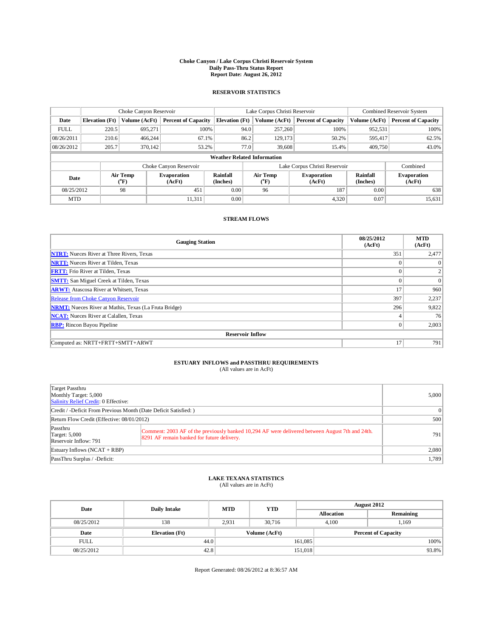## **Choke Canyon / Lake Corpus Christi Reservoir System Daily Pass-Thru Status Report Report Date: August 26, 2012**

### **RESERVOIR STATISTICS**

|             | Choke Canyon Reservoir |                          |                              |                                    | Lake Corpus Christi Reservoir |                          |                               |               | Combined Reservoir System    |  |  |
|-------------|------------------------|--------------------------|------------------------------|------------------------------------|-------------------------------|--------------------------|-------------------------------|---------------|------------------------------|--|--|
| Date        | <b>Elevation</b> (Ft)  | Volume (AcFt)            | <b>Percent of Capacity</b>   | <b>Elevation</b> (Ft)              |                               | Volume (AcFt)            | <b>Percent of Capacity</b>    | Volume (AcFt) | <b>Percent of Capacity</b>   |  |  |
| <b>FULL</b> | 220.5                  | 695,271                  | 100%                         |                                    | 94.0                          | 257,260                  | 100%                          | 952,531       | 100%                         |  |  |
| 08/26/2011  | 210.6                  | 466,244                  | 67.1%                        |                                    | 86.2                          | 129.173                  | 50.2%                         | 595,417       | 62.5%                        |  |  |
| 08/26/2012  | 205.7                  | 370,142                  | 53.2%                        |                                    | 77.0                          | 39,608                   | 15.4%                         | 409,750       | 43.0%                        |  |  |
|             |                        |                          |                              | <b>Weather Related Information</b> |                               |                          |                               |               |                              |  |  |
|             |                        |                          | Choke Canyon Reservoir       |                                    |                               |                          | Lake Corpus Christi Reservoir |               | Combined                     |  |  |
| Date        |                        | Air Temp<br>$\rm ^{o}F)$ | <b>Evaporation</b><br>(AcFt) | Rainfall<br>(Inches)               |                               | Air Temp<br>$\rm ^{o}F)$ | <b>Evaporation</b><br>(AcFt)  |               | <b>Evaporation</b><br>(AcFt) |  |  |
| 08/25/2012  |                        | 98                       | 451                          | 0.00                               |                               | 96                       | 187                           | 0.00          | 638                          |  |  |
| <b>MTD</b>  |                        |                          | 11.311                       | 0.00                               |                               |                          | 4,320                         | 0.07          | 15,631                       |  |  |

#### **STREAM FLOWS**

| <b>Gauging Station</b>                                       | 08/25/2012<br>(AcFt) | <b>MTD</b><br>(AcFt) |  |  |  |  |
|--------------------------------------------------------------|----------------------|----------------------|--|--|--|--|
| <b>NTRT:</b> Nueces River at Three Rivers, Texas             | 351                  | 2,477                |  |  |  |  |
| <b>NRTT:</b> Nueces River at Tilden, Texas                   |                      | $\Omega$             |  |  |  |  |
| <b>FRTT:</b> Frio River at Tilden, Texas                     |                      |                      |  |  |  |  |
| <b>SMTT:</b> San Miguel Creek at Tilden, Texas               | $\theta$             | $\Omega$             |  |  |  |  |
| <b>ARWT:</b> Atascosa River at Whitsett, Texas               | 17                   | 960                  |  |  |  |  |
| <b>Release from Choke Canyon Reservoir</b>                   | 397                  | 2,237                |  |  |  |  |
| <b>NRMT:</b> Nueces River at Mathis, Texas (La Fruta Bridge) | 296                  | 9,822                |  |  |  |  |
| <b>NCAT:</b> Nueces River at Calallen, Texas                 | 4                    | 76                   |  |  |  |  |
| <b>RBP:</b> Rincon Bayou Pipeline                            | $\mathbf{0}$         | 2,003                |  |  |  |  |
| <b>Reservoir Inflow</b>                                      |                      |                      |  |  |  |  |
| Computed as: NRTT+FRTT+SMTT+ARWT                             | 17                   | 791                  |  |  |  |  |

## **ESTUARY INFLOWS and PASSTHRU REQUIREMENTS**<br>(All values are in AcFt)

| Target Passthru<br>Monthly Target: 5,000<br>Salinity Relief Credit: 0 Effective: |                                                                                                                                               | 5,000           |
|----------------------------------------------------------------------------------|-----------------------------------------------------------------------------------------------------------------------------------------------|-----------------|
| Credit / -Deficit From Previous Month (Date Deficit Satisfied:)                  |                                                                                                                                               | $\vert 0 \vert$ |
| Return Flow Credit (Effective: 08/01/2012)                                       | 500                                                                                                                                           |                 |
| Passthru<br><b>Target: 5,000</b><br>Reservoir Inflow: 791                        | Comment: 2003 AF of the previously banked 10,294 AF were delivered between August 7th and 24th.<br>8291 AF remain banked for future delivery. | 791             |
| Estuary Inflows (NCAT + RBP)                                                     | 2.080                                                                                                                                         |                 |
| PassThru Surplus / -Deficit:                                                     |                                                                                                                                               | 1,789           |

## **LAKE TEXANA STATISTICS** (All values are in AcFt)

|             | Date<br><b>Daily Intake</b> | <b>MTD</b> | <b>YTD</b>    | <b>August 2012</b> |                   |                            |  |
|-------------|-----------------------------|------------|---------------|--------------------|-------------------|----------------------------|--|
|             |                             |            |               |                    | <b>Allocation</b> | Remaining                  |  |
| 08/25/2012  | 138                         | 2.931      | 30.716        |                    | 4.100             | 1.169                      |  |
| Date        | <b>Elevation</b> (Ft)       |            | Volume (AcFt) |                    |                   | <b>Percent of Capacity</b> |  |
| <b>FULL</b> | 44.0                        |            |               | 161,085            |                   | 100%                       |  |
| 08/25/2012  | 42.8                        |            |               | 151,018            |                   | 93.8%                      |  |

Report Generated: 08/26/2012 at 8:36:57 AM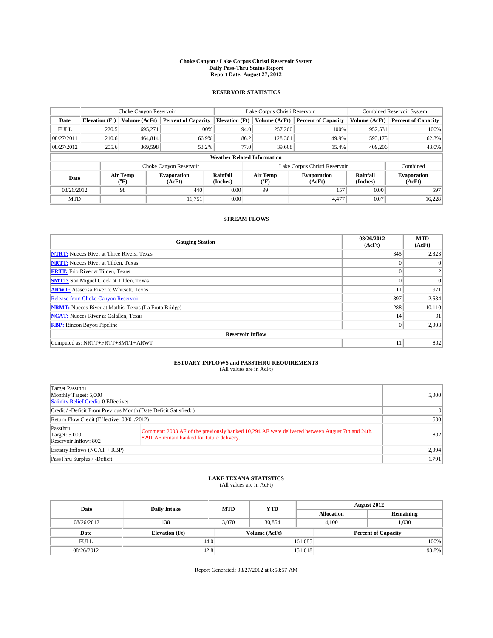## **Choke Canyon / Lake Corpus Christi Reservoir System Daily Pass-Thru Status Report Report Date: August 27, 2012**

### **RESERVOIR STATISTICS**

|             | Choke Canyon Reservoir |                          |                              |                                    | Lake Corpus Christi Reservoir |                                  |                               |                             | Combined Reservoir System    |  |  |
|-------------|------------------------|--------------------------|------------------------------|------------------------------------|-------------------------------|----------------------------------|-------------------------------|-----------------------------|------------------------------|--|--|
| Date        | <b>Elevation</b> (Ft)  | Volume (AcFt)            | <b>Percent of Capacity</b>   | <b>Elevation</b> (Ft)              |                               | Volume (AcFt)                    | <b>Percent of Capacity</b>    | Volume (AcFt)               | <b>Percent of Capacity</b>   |  |  |
| <b>FULL</b> | 220.5                  | 695,271                  | 100%                         |                                    | 94.0                          | 257,260                          | 100%                          | 952,531                     | 100%                         |  |  |
| 08/27/2011  | 210.6                  | 464,814                  | 66.9%                        |                                    | 86.2                          | 128.361                          | 49.9%                         | 593,175                     | 62.3%                        |  |  |
| 08/27/2012  | 205.6                  | 369,598                  | 53.2%                        |                                    | 77.0                          | 39,608                           | 15.4%                         | 409,206                     | 43.0%                        |  |  |
|             |                        |                          |                              | <b>Weather Related Information</b> |                               |                                  |                               |                             |                              |  |  |
|             |                        |                          | Choke Canyon Reservoir       |                                    |                               |                                  | Lake Corpus Christi Reservoir |                             | Combined                     |  |  |
| Date        |                        | Air Temp<br>$\rm ^{o}F)$ | <b>Evaporation</b><br>(AcFt) | Rainfall<br>(Inches)               |                               | Air Temp<br>$\mathrm{^{\circ}F}$ | <b>Evaporation</b><br>(AcFt)  | <b>Rainfall</b><br>(Inches) | <b>Evaporation</b><br>(AcFt) |  |  |
| 08/26/2012  |                        | 98                       | 440                          | 0.00<br>99                         |                               | 157                              | 0.00                          | 597                         |                              |  |  |
| <b>MTD</b>  |                        |                          | 11.751                       | 0.00                               |                               |                                  | 4,477                         | 0.07                        | 16,228                       |  |  |

#### **STREAM FLOWS**

| <b>Gauging Station</b>                                       | 08/26/2012<br>(AcFt) | <b>MTD</b><br>(AcFt) |
|--------------------------------------------------------------|----------------------|----------------------|
| <b>NTRT:</b> Nueces River at Three Rivers, Texas             | 345                  | 2,823                |
| <b>NRTT:</b> Nueces River at Tilden, Texas                   |                      | $\Omega$             |
| <b>FRTT:</b> Frio River at Tilden, Texas                     | $\Omega$             |                      |
| <b>SMTT:</b> San Miguel Creek at Tilden, Texas               | $\theta$             | $\Omega$             |
| <b>ARWT:</b> Atascosa River at Whitsett, Texas               | 11                   | 971                  |
| Release from Choke Canyon Reservoir                          | 397                  | 2,634                |
| <b>NRMT:</b> Nueces River at Mathis, Texas (La Fruta Bridge) | 288                  | 10,110               |
| <b>NCAT:</b> Nueces River at Calallen, Texas                 | 14                   | 91                   |
| <b>RBP:</b> Rincon Bayou Pipeline                            | $\mathbf{0}$         | 2,003                |
| <b>Reservoir Inflow</b>                                      |                      |                      |
| Computed as: NRTT+FRTT+SMTT+ARWT                             | 11                   | 802                  |

## **ESTUARY INFLOWS and PASSTHRU REQUIREMENTS**<br>(All values are in AcFt)

| Target Passthru<br>Monthly Target: 5,000<br>Salinity Relief Credit: 0 Effective: |                                                                                                                                               | 5,000           |
|----------------------------------------------------------------------------------|-----------------------------------------------------------------------------------------------------------------------------------------------|-----------------|
| Credit / -Deficit From Previous Month (Date Deficit Satisfied:)                  |                                                                                                                                               | $\vert 0 \vert$ |
| Return Flow Credit (Effective: 08/01/2012)                                       | 500                                                                                                                                           |                 |
| Passthru<br>Target: $5,000$<br>Reservoir Inflow: 802                             | Comment: 2003 AF of the previously banked 10,294 AF were delivered between August 7th and 24th.<br>8291 AF remain banked for future delivery. | 802             |
| Estuary Inflows (NCAT + RBP)                                                     | 2.094                                                                                                                                         |                 |
| PassThru Surplus / -Deficit:                                                     |                                                                                                                                               | 1,791           |

## **LAKE TEXANA STATISTICS** (All values are in AcFt)

| Date        | <b>Daily Intake</b>   | <b>MTD</b> | <b>YTD</b>    | <b>August 2012</b> |                            |           |  |
|-------------|-----------------------|------------|---------------|--------------------|----------------------------|-----------|--|
|             |                       |            |               |                    | <b>Allocation</b>          | Remaining |  |
| 08/26/2012  | 138                   | 3.070      | 30.854        |                    | 1,030<br>4.100             |           |  |
| Date        | <b>Elevation</b> (Ft) |            | Volume (AcFt) |                    | <b>Percent of Capacity</b> |           |  |
| <b>FULL</b> | 44.0                  |            |               | 161,085            |                            | 100%      |  |
| 08/26/2012  | 42.8                  |            |               | 151,018            |                            | 93.8%     |  |

Report Generated: 08/27/2012 at 8:58:57 AM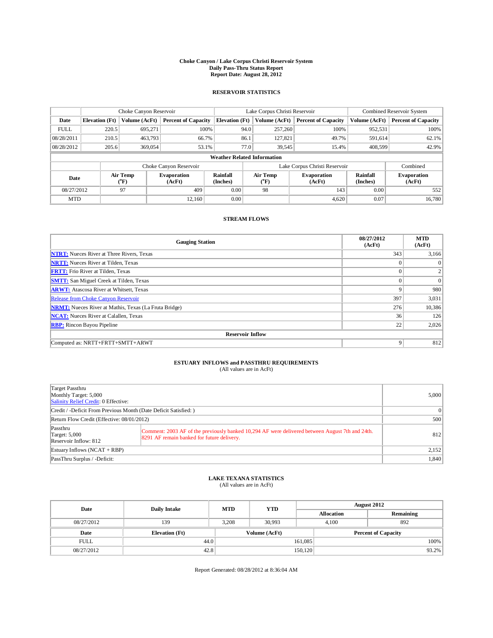## **Choke Canyon / Lake Corpus Christi Reservoir System Daily Pass-Thru Status Report Report Date: August 28, 2012**

### **RESERVOIR STATISTICS**

|             | Choke Canyon Reservoir |                           | Lake Corpus Christi Reservoir |                                    |      |                                           | Combined Reservoir System     |                             |                              |
|-------------|------------------------|---------------------------|-------------------------------|------------------------------------|------|-------------------------------------------|-------------------------------|-----------------------------|------------------------------|
| Date        | <b>Elevation</b> (Ft)  | Volume (AcFt)             | <b>Percent of Capacity</b>    | <b>Elevation</b> (Ft)              |      | Volume (AcFt)                             | <b>Percent of Capacity</b>    | Volume (AcFt)               | <b>Percent of Capacity</b>   |
| <b>FULL</b> | 220.5                  | 695,271                   | 100%                          |                                    | 94.0 | 257,260                                   | 100%                          | 952,531                     | 100%                         |
| 08/28/2011  | 210.5                  | 463,793                   | 66.7%                         |                                    | 86.1 | 127,821                                   | 49.7%                         | 591,614                     | 62.1%                        |
| 08/28/2012  | 205.6                  | 369,054                   | 53.1%                         |                                    | 77.0 | 39,545                                    | 15.4%                         | 408,599                     | 42.9%                        |
|             |                        |                           |                               | <b>Weather Related Information</b> |      |                                           |                               |                             |                              |
|             |                        |                           | Choke Canyon Reservoir        |                                    |      |                                           | Lake Corpus Christi Reservoir |                             | Combined                     |
| Date        |                        | Air Temp<br>$\rm ^{(o}F)$ | <b>Evaporation</b><br>(AcFt)  | <b>Rainfall</b><br>(Inches)        |      | Air Temp<br>$({}^{\mathrm{o}}\mathrm{F})$ | <b>Evaporation</b><br>(AcFt)  | <b>Rainfall</b><br>(Inches) | <b>Evaporation</b><br>(AcFt) |
| 08/27/2012  |                        | 97                        | 409                           | 0.00                               |      | 98                                        | 143                           | 0.00                        | 552                          |
| <b>MTD</b>  |                        |                           | 12.160                        | 0.00                               |      |                                           | 4,620                         | 0.07                        | 16.780                       |

#### **STREAM FLOWS**

| <b>Gauging Station</b>                                       | 08/27/2012<br>(AcFt) | <b>MTD</b><br>(AcFt) |
|--------------------------------------------------------------|----------------------|----------------------|
| <b>NTRT:</b> Nueces River at Three Rivers, Texas             | 343                  | 3,166                |
| <b>NRTT:</b> Nueces River at Tilden, Texas                   |                      | $\Omega$             |
| <b>FRTT:</b> Frio River at Tilden, Texas                     | $\theta$             |                      |
| <b>SMTT:</b> San Miguel Creek at Tilden, Texas               | $\theta$             | $\Omega$             |
| <b>ARWT:</b> Atascosa River at Whitsett, Texas               | $\mathbf Q$          | 980                  |
| Release from Choke Canyon Reservoir                          | 397                  | 3,031                |
| <b>NRMT:</b> Nueces River at Mathis, Texas (La Fruta Bridge) | 276                  | 10,386               |
| <b>NCAT:</b> Nueces River at Calallen, Texas                 | 36                   | 126                  |
| <b>RBP:</b> Rincon Bayou Pipeline                            | 22                   | 2,026                |
| <b>Reservoir Inflow</b>                                      |                      |                      |
| Computed as: NRTT+FRTT+SMTT+ARWT                             |                      | 812                  |

## **ESTUARY INFLOWS and PASSTHRU REQUIREMENTS**<br>(All values are in AcFt)

| Target Passthru<br>Monthly Target: 5,000<br>Salinity Relief Credit: 0 Effective: |                                                                                                                                               | 5,000 |  |
|----------------------------------------------------------------------------------|-----------------------------------------------------------------------------------------------------------------------------------------------|-------|--|
| Credit / -Deficit From Previous Month (Date Deficit Satisfied:)                  | $\vert 0 \vert$                                                                                                                               |       |  |
| Return Flow Credit (Effective: 08/01/2012)                                       |                                                                                                                                               |       |  |
| Passthru<br>Target: $5,000$<br>Reservoir Inflow: 812                             | Comment: 2003 AF of the previously banked 10,294 AF were delivered between August 7th and 24th.<br>8291 AF remain banked for future delivery. | 812   |  |
| Estuary Inflows (NCAT + RBP)                                                     | 2,152                                                                                                                                         |       |  |
| PassThru Surplus / -Deficit:                                                     |                                                                                                                                               | 1,840 |  |

## **LAKE TEXANA STATISTICS** (All values are in AcFt)

| Date        | <b>Daily Intake</b>   | <b>MTD</b> | <b>YTD</b>    | <b>August 2012</b> |                            |           |       |
|-------------|-----------------------|------------|---------------|--------------------|----------------------------|-----------|-------|
|             |                       |            |               |                    | <b>Allocation</b>          | Remaining |       |
| 08/27/2012  | 139                   | 3.208      | 30.993        |                    | 892<br>4.100               |           |       |
| Date        | <b>Elevation</b> (Ft) |            | Volume (AcFt) |                    | <b>Percent of Capacity</b> |           |       |
| <b>FULL</b> | 44.0                  |            |               | 161,085            |                            |           | 100%  |
| 08/27/2012  | 42.8                  |            |               | 150,120            |                            |           | 93.2% |

Report Generated: 08/28/2012 at 8:36:04 AM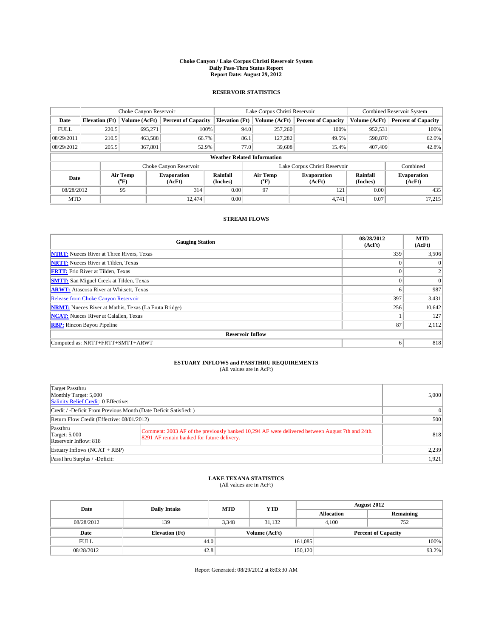## **Choke Canyon / Lake Corpus Christi Reservoir System Daily Pass-Thru Status Report Report Date: August 29, 2012**

### **RESERVOIR STATISTICS**

|             | Choke Canyon Reservoir |                                                |                            |                                    | Lake Corpus Christi Reservoir |               |                               |                             | Combined Reservoir System    |  |  |
|-------------|------------------------|------------------------------------------------|----------------------------|------------------------------------|-------------------------------|---------------|-------------------------------|-----------------------------|------------------------------|--|--|
| Date        | <b>Elevation</b> (Ft)  | Volume (AcFt)                                  | <b>Percent of Capacity</b> | <b>Elevation</b> (Ft)              |                               | Volume (AcFt) | <b>Percent of Capacity</b>    | Volume (AcFt)               | <b>Percent of Capacity</b>   |  |  |
| <b>FULL</b> | 220.5                  | 695,271                                        | 100%                       |                                    | 94.0                          | 257,260       | 100%                          | 952,531                     | 100%                         |  |  |
| 08/29/2011  | 210.5                  | 463,588                                        | 66.7%                      |                                    | 86.1                          | 127.282       | 49.5%                         | 590,870                     | 62.0%                        |  |  |
| 08/29/2012  | 205.5                  | 367,801                                        | 52.9%                      |                                    | 77.0                          | 39,608        | 15.4%                         | 407,409                     | 42.8%                        |  |  |
|             |                        |                                                |                            | <b>Weather Related Information</b> |                               |               |                               |                             |                              |  |  |
|             |                        |                                                | Choke Canyon Reservoir     |                                    |                               |               | Lake Corpus Christi Reservoir |                             | Combined                     |  |  |
| Date        |                        | Air Temp<br><b>Evaporation</b><br>$\rm ^{o}F)$ |                            | Rainfall<br>(Inches)               | Air Temp<br>$\rm ^{o}F)$      |               | <b>Evaporation</b><br>(AcFt)  | <b>Rainfall</b><br>(Inches) | <b>Evaporation</b><br>(AcFt) |  |  |
| 08/28/2012  |                        | 95<br>314                                      |                            | 0.00                               |                               | 97            | 121                           | 0.00                        | 435                          |  |  |
| <b>MTD</b>  |                        |                                                | 12.474                     | 0.00                               |                               |               | 4.741                         | 0.07                        | 17,215                       |  |  |

#### **STREAM FLOWS**

| <b>Gauging Station</b>                                       | 08/28/2012<br>(AcFt) | <b>MTD</b><br>(AcFt) |
|--------------------------------------------------------------|----------------------|----------------------|
| <b>NTRT:</b> Nueces River at Three Rivers, Texas             | 339                  | 3,506                |
| <b>NRTT:</b> Nueces River at Tilden, Texas                   |                      | $\Omega$             |
| <b>FRTT:</b> Frio River at Tilden, Texas                     |                      |                      |
| <b>SMTT:</b> San Miguel Creek at Tilden, Texas               | $\theta$             | $\Omega$             |
| <b>ARWT:</b> Atascosa River at Whitsett, Texas               | 6                    | 987                  |
| <b>Release from Choke Canyon Reservoir</b>                   | 397                  | 3,431                |
| <b>NRMT:</b> Nueces River at Mathis, Texas (La Fruta Bridge) | 256                  | 10,642               |
| <b>NCAT:</b> Nueces River at Calallen, Texas                 |                      | 127                  |
| <b>RBP:</b> Rincon Bayou Pipeline                            | 87                   | 2,112                |
| <b>Reservoir Inflow</b>                                      |                      |                      |
| Computed as: NRTT+FRTT+SMTT+ARWT                             | 6                    | 818                  |

## **ESTUARY INFLOWS and PASSTHRU REQUIREMENTS**<br>(All values are in AcFt)

| Target Passthru<br>Monthly Target: 5,000<br>Salinity Relief Credit: 0 Effective: | 5,000                                                                                                                                         |                 |
|----------------------------------------------------------------------------------|-----------------------------------------------------------------------------------------------------------------------------------------------|-----------------|
| Credit / -Deficit From Previous Month (Date Deficit Satisfied:)                  |                                                                                                                                               | $\vert 0 \vert$ |
| Return Flow Credit (Effective: 08/01/2012)                                       |                                                                                                                                               | 500             |
| Passthru<br><b>Target: 5,000</b><br>Reservoir Inflow: 818                        | Comment: 2003 AF of the previously banked 10,294 AF were delivered between August 7th and 24th.<br>8291 AF remain banked for future delivery. | 818             |
| Estuary Inflows $(NCAT + RBP)$                                                   | 2,239                                                                                                                                         |                 |
| PassThru Surplus / -Deficit:                                                     |                                                                                                                                               | 1,921           |

## **LAKE TEXANA STATISTICS** (All values are in AcFt)

| Date        | <b>Daily Intake</b>   | <b>MTD</b> | <b>YTD</b>    | <b>August 2012</b> |                            |           |  |
|-------------|-----------------------|------------|---------------|--------------------|----------------------------|-----------|--|
|             |                       |            |               |                    | <b>Allocation</b>          | Remaining |  |
| 08/28/2012  | 139                   | 3.348      | 31.132        |                    | 4.100                      | 752       |  |
| Date        | <b>Elevation</b> (Ft) |            | Volume (AcFt) |                    | <b>Percent of Capacity</b> |           |  |
| <b>FULL</b> | 44.0                  |            |               | 161,085            |                            | 100%      |  |
| 08/28/2012  | 42.8                  |            |               | 150,120            |                            | 93.2%     |  |

Report Generated: 08/29/2012 at 8:03:30 AM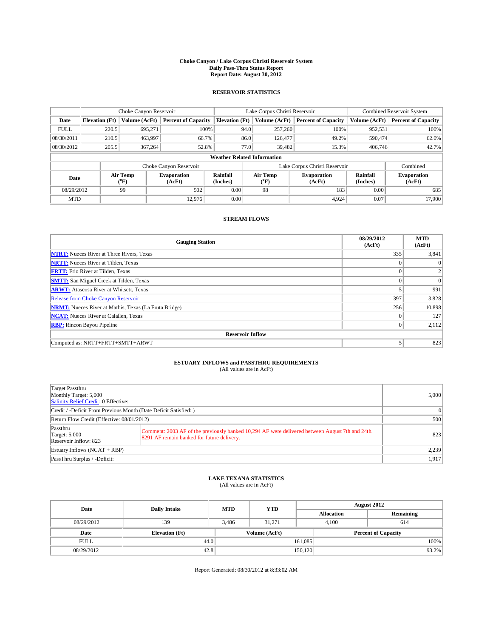## **Choke Canyon / Lake Corpus Christi Reservoir System Daily Pass-Thru Status Report Report Date: August 30, 2012**

#### **RESERVOIR STATISTICS**

|             | Choke Canyon Reservoir |                          | Lake Corpus Christi Reservoir |                                    |      |                  | Combined Reservoir System     |                             |                              |
|-------------|------------------------|--------------------------|-------------------------------|------------------------------------|------|------------------|-------------------------------|-----------------------------|------------------------------|
| Date        | <b>Elevation</b> (Ft)  | Volume (AcFt)            | <b>Percent of Capacity</b>    | <b>Elevation</b> (Ft)              |      | Volume (AcFt)    | <b>Percent of Capacity</b>    | Volume (AcFt)               | <b>Percent of Capacity</b>   |
| <b>FULL</b> | 220.5                  | 695,271                  | 100%                          |                                    | 94.0 | 257,260          | 100%                          | 952,531                     | 100%                         |
| 08/30/2011  | 210.5                  | 463,997                  | 66.7%                         |                                    | 86.0 | 126,477          | 49.2%                         | 590,474                     | 62.0%                        |
| 08/30/2012  | 205.5                  | 367,264                  | 52.8%                         |                                    | 77.0 | 39,482           | 15.3%                         | 406,746                     | 42.7%                        |
|             |                        |                          |                               | <b>Weather Related Information</b> |      |                  |                               |                             |                              |
|             |                        |                          | Choke Canyon Reservoir        |                                    |      |                  | Lake Corpus Christi Reservoir |                             | Combined                     |
| Date        |                        | Air Temp<br>$\rm ^{o}F)$ | <b>Evaporation</b><br>(AcFt)  | <b>Rainfall</b><br>(Inches)        |      | Air Temp<br>("F) | <b>Evaporation</b><br>(AcFt)  | <b>Rainfall</b><br>(Inches) | <b>Evaporation</b><br>(AcFt) |
|             | 08/29/2012<br>99       |                          | 502                           | 0.00                               |      | 98               | 183                           | 0.00                        | 685                          |
| <b>MTD</b>  |                        |                          | 12.976                        | 0.00                               |      |                  | 4,924                         | 0.07                        | 17.900                       |

#### **STREAM FLOWS**

| <b>Gauging Station</b>                                       | 08/29/2012<br>(AcFt) | <b>MTD</b><br>(AcFt) |
|--------------------------------------------------------------|----------------------|----------------------|
| <b>NTRT:</b> Nueces River at Three Rivers, Texas             | 335                  | 3,841                |
| <b>NRTT:</b> Nueces River at Tilden, Texas                   |                      | $\Omega$             |
| <b>FRTT:</b> Frio River at Tilden, Texas                     |                      |                      |
| <b>SMTT:</b> San Miguel Creek at Tilden, Texas               | $\theta$             | $\Omega$             |
| <b>ARWT:</b> Atascosa River at Whitsett, Texas               |                      | 991                  |
| <b>Release from Choke Canyon Reservoir</b>                   | 397                  | 3,828                |
| <b>NRMT:</b> Nueces River at Mathis, Texas (La Fruta Bridge) | 256                  | 10,898               |
| <b>NCAT:</b> Nueces River at Calallen, Texas                 | $\Omega$             | 127                  |
| <b>RBP:</b> Rincon Bayou Pipeline                            |                      | 2,112                |
| <b>Reservoir Inflow</b>                                      |                      |                      |
| Computed as: NRTT+FRTT+SMTT+ARWT                             |                      | 823                  |

# **ESTUARY INFLOWS and PASSTHRU REQUIREMENTS**<br>(All values are in AcFt)

| Target Passthru<br>Monthly Target: 5,000<br>Salinity Relief Credit: 0 Effective: |                                                                                                                                                | 5,000    |
|----------------------------------------------------------------------------------|------------------------------------------------------------------------------------------------------------------------------------------------|----------|
|                                                                                  | Credit / -Deficit From Previous Month (Date Deficit Satisfied: )                                                                               | $\Omega$ |
| Return Flow Credit (Effective: 08/01/2012)                                       |                                                                                                                                                | 500      |
| Passthru<br><b>Target: 5,000</b><br>Reservoir Inflow: 823                        | Comment: 2003 AF of the previously banked 10,294 AF were delivered between August 7th and 24th.<br>[8291 AF remain banked for future delivery. | 823      |
| Estuary Inflows $(NCAT + RBP)$                                                   |                                                                                                                                                | 2.239    |

## **LAKE TEXANA STATISTICS** (All values are in AcFt)

PassThru Surplus / -Deficit: 1,917

| Date        | <b>Daily Intake</b>   | <b>MTD</b> | <b>YTD</b>    | <b>August 2012</b> |              |                            |       |
|-------------|-----------------------|------------|---------------|--------------------|--------------|----------------------------|-------|
|             |                       |            |               | <b>Allocation</b>  |              | Remaining                  |       |
| 08/29/2012  | 139                   | 3.486      | 31.271        |                    | 4.100<br>614 |                            |       |
| Date        | <b>Elevation</b> (Ft) |            | Volume (AcFt) |                    |              | <b>Percent of Capacity</b> |       |
| <b>FULL</b> | 44.0                  |            |               | 161,085            |              |                            | 100%  |
| 08/29/2012  | 42.8                  |            | 150,120       |                    |              |                            | 93.2% |

Report Generated: 08/30/2012 at 8:33:02 AM